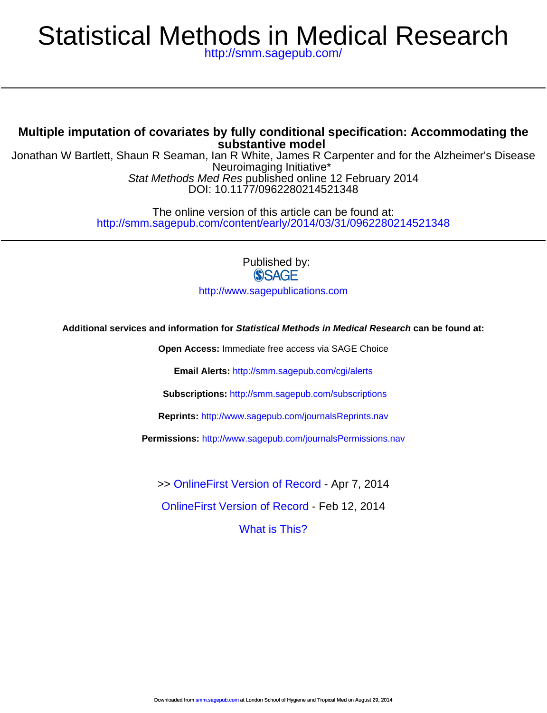# Statistical Methods in Medical Research

<http://smm.sagepub.com/>

# **substantive model Multiple imputation of covariates by fully conditional specification: Accommodating the**

DOI: 10.1177/0962280214521348 Stat Methods Med Res published online 12 February 2014 Neuroimaging Initiative\* Jonathan W Bartlett, Shaun R Seaman, Ian R White, James R Carpenter and for the Alzheimer's Disease

> <http://smm.sagepub.com/content/early/2014/03/31/0962280214521348> The online version of this article can be found at:

> > Published by: **SSAGE** <http://www.sagepublications.com>

**Additional services and information for Statistical Methods in Medical Research can be found at:**

**Open Access:** Immediate free access via SAGE Choice

**Email Alerts:** <http://smm.sagepub.com/cgi/alerts>

**Subscriptions:** <http://smm.sagepub.com/subscriptions>

**Reprints:** <http://www.sagepub.com/journalsReprints.nav>

**Permissions:** <http://www.sagepub.com/journalsPermissions.nav>

>> [OnlineFirst Version of Record -](http://smm.sagepub.com/content/early/2014/03/31/0962280214521348.full.pdf) Apr 7, 2014

[OnlineFirst Version of Record -](http://smm.sagepub.com/content/early/2014/02/11/0962280214521348.full.pdf) Feb 12, 2014

[What is This?](http://online.sagepub.com/site/sphelp/vorhelp.xhtml)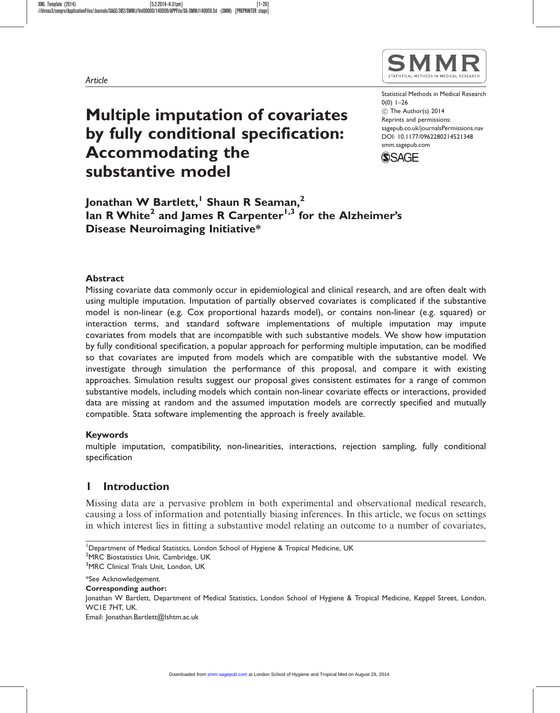



Statistical Methods in Medical Research 0(0) 1–26 C The Author(s) 2014 Reprints and permissions: sagepub.co.uk/journalsPermissions.nav DOI: 10.1177/0962280214521348 smm.sagepub.com



# Jonathan W Bartlett,<sup>1</sup> Shaun R Seaman.<sup>2</sup>  $\int$  Ian R White<sup>2</sup> and James R Carpenter<sup>1,3</sup> for the Alzheimer's Disease Neuroimaging Initiative\*

# **Abstract**

Missing covariate data commonly occur in epidemiological and clinical research, and are often dealt with using multiple imputation. Imputation of partially observed covariates is complicated if the substantive model is non-linear (e.g. Cox proportional hazards model), or contains non-linear (e.g. squared) or interaction terms, and standard software implementations of multiple imputation may impute covariates from models that are incompatible with such substantive models. We show how imputation by fully conditional specification, a popular approach for performing multiple imputation, can be modified so that covariates are imputed from models which are compatible with the substantive model. We investigate through simulation the performance of this proposal, and compare it with existing approaches. Simulation results suggest our proposal gives consistent estimates for a range of common substantive models, including models which contain non-linear covariate effects or interactions, provided data are missing at random and the assumed imputation models are correctly specified and mutually compatible. Stata software implementing the approach is freely available.

#### Keywords

multiple imputation, compatibility, non-linearities, interactions, rejection sampling, fully conditional specification

# 1 Introduction

Missing data are a pervasive problem in both experimental and observational medical research, causing a loss of information and potentially biasing inferences. In this article, we focus on settings in which interest lies in fitting a substantive model relating an outcome to a number of covariates,

<sup>2</sup>MRC Biostatistics Unit, Cambridge, UK

<sup>3</sup>MRC Clinical Trials Unit, London, UK

\*See Acknowledgement.

Corresponding author:

Jonathan W Bartlett, Department of Medical Statistics, London School of Hygiene & Tropical Medicine, Keppel Street, London, WC1E 7HT, UK.

Email: Jonathan.Bartlett@lshtm.ac.uk

<sup>&</sup>lt;sup>1</sup>Department of Medical Statistics, London School of Hygiene & Tropical Medicine, UK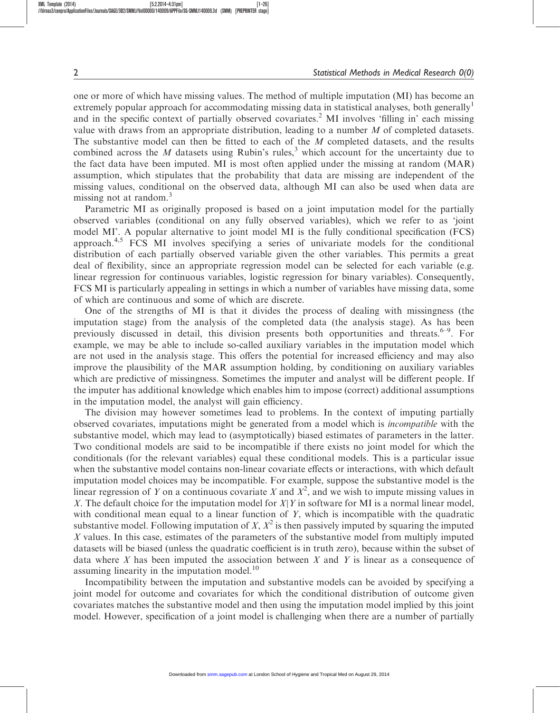one or more of which have missing values. The method of multiple imputation (MI) has become an extremely popular approach for accommodating missing data in statistical analyses, both generally<sup>1</sup> and in the specific context of partially observed covariates.<sup>2</sup> MI involves 'filling in' each missing value with draws from an appropriate distribution, leading to a number M of completed datasets. The substantive model can then be fitted to each of the  $M$  completed datasets, and the results combined across the M datasets using Rubin's rules,<sup>3</sup> which account for the uncertainty due to the fact data have been imputed. MI is most often applied under the missing at random (MAR) assumption, which stipulates that the probability that data are missing are independent of the missing values, conditional on the observed data, although MI can also be used when data are missing not at random.<sup>3</sup>

Parametric MI as originally proposed is based on a joint imputation model for the partially observed variables (conditional on any fully observed variables), which we refer to as 'joint model MI'. A popular alternative to joint model MI is the fully conditional specification (FCS) approach.<sup>4,5</sup> FCS MI involves specifying a series of univariate models for the conditional distribution of each partially observed variable given the other variables. This permits a great deal of flexibility, since an appropriate regression model can be selected for each variable (e.g. linear regression for continuous variables, logistic regression for binary variables). Consequently, FCS MI is particularly appealing in settings in which a number of variables have missing data, some of which are continuous and some of which are discrete.

One of the strengths of MI is that it divides the process of dealing with missingness (the imputation stage) from the analysis of the completed data (the analysis stage). As has been previously discussed in detail, this division presents both opportunities and threats.<sup>6–9</sup>. For example, we may be able to include so-called auxiliary variables in the imputation model which are not used in the analysis stage. This offers the potential for increased efficiency and may also improve the plausibility of the MAR assumption holding, by conditioning on auxiliary variables which are predictive of missingness. Sometimes the imputer and analyst will be different people. If the imputer has additional knowledge which enables him to impose (correct) additional assumptions in the imputation model, the analyst will gain efficiency.

The division may however sometimes lead to problems. In the context of imputing partially observed covariates, imputations might be generated from a model which is incompatible with the substantive model, which may lead to (asymptotically) biased estimates of parameters in the latter. Two conditional models are said to be incompatible if there exists no joint model for which the conditionals (for the relevant variables) equal these conditional models. This is a particular issue when the substantive model contains non-linear covariate effects or interactions, with which default imputation model choices may be incompatible. For example, suppose the substantive model is the linear regression of Y on a continuous covariate X and  $X^2$ , and we wish to impute missing values in X. The default choice for the imputation model for  $X|Y$  in software for MI is a normal linear model, with conditional mean equal to a linear function of Y, which is incompatible with the quadratic substantive model. Following imputation of X,  $X^2$  is then passively imputed by squaring the imputed X values. In this case, estimates of the parameters of the substantive model from multiply imputed datasets will be biased (unless the quadratic coefficient is in truth zero), because within the subset of data where X has been imputed the association between X and Y is linear as a consequence of assuming linearity in the imputation model. $^{10}$ 

Incompatibility between the imputation and substantive models can be avoided by specifying a joint model for outcome and covariates for which the conditional distribution of outcome given covariates matches the substantive model and then using the imputation model implied by this joint model. However, specification of a joint model is challenging when there are a number of partially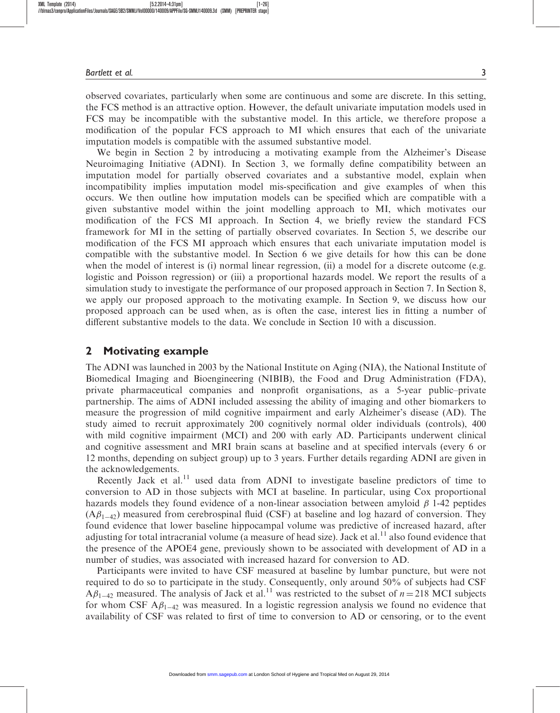observed covariates, particularly when some are continuous and some are discrete. In this setting, the FCS method is an attractive option. However, the default univariate imputation models used in FCS may be incompatible with the substantive model. In this article, we therefore propose a modification of the popular FCS approach to MI which ensures that each of the univariate imputation models is compatible with the assumed substantive model.

We begin in Section 2 by introducing a motivating example from the Alzheimer's Disease Neuroimaging Initiative (ADNI). In Section 3, we formally define compatibility between an imputation model for partially observed covariates and a substantive model, explain when incompatibility implies imputation model mis-specification and give examples of when this occurs. We then outline how imputation models can be specified which are compatible with a given substantive model within the joint modelling approach to MI, which motivates our modification of the FCS MI approach. In Section 4, we briefly review the standard FCS framework for MI in the setting of partially observed covariates. In Section 5, we describe our modification of the FCS MI approach which ensures that each univariate imputation model is compatible with the substantive model. In Section 6 we give details for how this can be done when the model of interest is (i) normal linear regression, (ii) a model for a discrete outcome (e.g. logistic and Poisson regression) or (iii) a proportional hazards model. We report the results of a simulation study to investigate the performance of our proposed approach in Section 7. In Section 8, we apply our proposed approach to the motivating example. In Section 9, we discuss how our proposed approach can be used when, as is often the case, interest lies in fitting a number of different substantive models to the data. We conclude in Section 10 with a discussion.

# 2 Motivating example

The ADNI was launched in 2003 by the National Institute on Aging (NIA), the National Institute of Biomedical Imaging and Bioengineering (NIBIB), the Food and Drug Administration (FDA), private pharmaceutical companies and nonprofit organisations, as a 5-year public–private partnership. The aims of ADNI included assessing the ability of imaging and other biomarkers to measure the progression of mild cognitive impairment and early Alzheimer's disease (AD). The study aimed to recruit approximately 200 cognitively normal older individuals (controls), 400 with mild cognitive impairment (MCI) and 200 with early AD. Participants underwent clinical and cognitive assessment and MRI brain scans at baseline and at specified intervals (every 6 or 12 months, depending on subject group) up to 3 years. Further details regarding ADNI are given in the acknowledgements.

Recently Jack et al.<sup>11</sup> used data from ADNI to investigate baseline predictors of time to conversion to AD in those subjects with MCI at baseline. In particular, using Cox proportional hazards models they found evidence of a non-linear association between amyloid  $\beta$  1-42 peptides  $(A\beta_{1-42})$  measured from cerebrospinal fluid (CSF) at baseline and log hazard of conversion. They found evidence that lower baseline hippocampal volume was predictive of increased hazard, after adjusting for total intracranial volume (a measure of head size). Jack et al.<sup>11</sup> also found evidence that the presence of the APOE4 gene, previously shown to be associated with development of AD in a number of studies, was associated with increased hazard for conversion to AD.

Participants were invited to have CSF measured at baseline by lumbar puncture, but were not required to do so to participate in the study. Consequently, only around 50% of subjects had CSF  $A\hat{\beta}_{1-42}$  measured. The analysis of Jack et al.<sup>11</sup> was restricted to the subset of  $n = 218$  MCI subjects for whom CSF  $A\beta_{1-42}$  was measured. In a logistic regression analysis we found no evidence that availability of CSF was related to first of time to conversion to AD or censoring, or to the event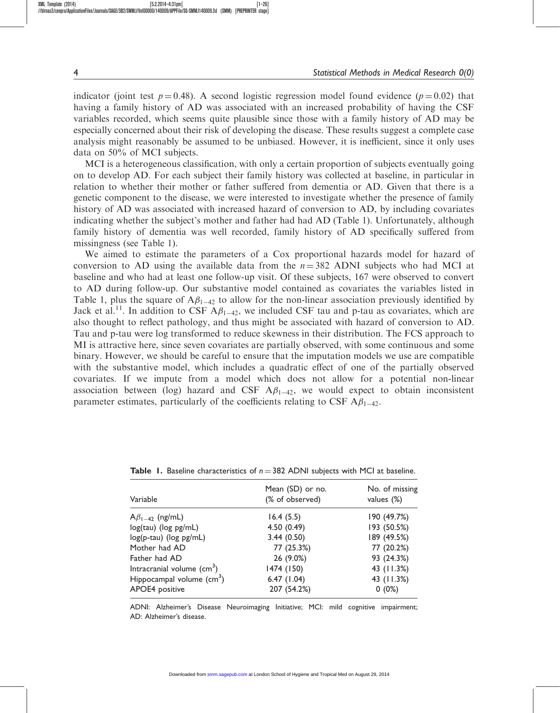indicator (joint test  $p = 0.48$ ). A second logistic regression model found evidence ( $p = 0.02$ ) that having a family history of AD was associated with an increased probability of having the CSF variables recorded, which seems quite plausible since those with a family history of AD may be especially concerned about their risk of developing the disease. These results suggest a complete case analysis might reasonably be assumed to be unbiased. However, it is inefficient, since it only uses data on 50% of MCI subjects.

MCI is a heterogeneous classification, with only a certain proportion of subjects eventually going on to develop AD. For each subject their family history was collected at baseline, in particular in relation to whether their mother or father suffered from dementia or AD. Given that there is a genetic component to the disease, we were interested to investigate whether the presence of family history of AD was associated with increased hazard of conversion to AD, by including covariates indicating whether the subject's mother and father had had AD (Table 1). Unfortunately, although family history of dementia was well recorded, family history of AD specifically suffered from missingness (see Table 1).

We aimed to estimate the parameters of a Cox proportional hazards model for hazard of conversion to AD using the available data from the  $n = 382$  ADNI subjects who had MCI at baseline and who had at least one follow-up visit. Of these subjects, 167 were observed to convert to AD during follow-up. Our substantive model contained as covariates the variables listed in Table 1, plus the square of  $A\beta_{1-42}$  to allow for the non-linear association previously identified by Jack et al.<sup>11</sup>. In addition to CSF  $A\beta_{1-42}$ , we included CSF tau and p-tau as covariates, which are also thought to reflect pathology, and thus might be associated with hazard of conversion to AD. Tau and p-tau were log transformed to reduce skewness in their distribution. The FCS approach to MI is attractive here, since seven covariates are partially observed, with some continuous and some binary. However, we should be careful to ensure that the imputation models we use are compatible with the substantive model, which includes a quadratic effect of one of the partially observed covariates. If we impute from a model which does not allow for a potential non-linear association between (log) hazard and CSF  $A\beta_{1-42}$ , we would expect to obtain inconsistent parameter estimates, particularly of the coefficients relating to CSF  $A\beta_{1-42}$ .

| Mean (SD) or no.<br>(% of observed)<br>Variable   | No. of missing<br>values $(\%)$ |
|---------------------------------------------------|---------------------------------|
| 16.4(5.5)<br>$A\beta_{1-42}$ (ng/mL)              | 190 (49.7%)                     |
| 4.50(0.49)<br>$log(tau)$ ( $log pg/mL$ )          | 193 (50.5%)                     |
| log(p-tau) (log pg/mL)<br>3.44(0.50)              | 189 (49.5%)                     |
| 77 (25.3%)<br>Mother had AD                       | 77 (20.2%)                      |
| 26 (9.0%)<br>Father had AD                        | 93 (24.3%)                      |
| Intracranial volume $\text{(cm}^3)$<br>1474 (150) | 43 (11.3%)                      |
| Hippocampal volume $\text{(cm}^3)$<br>6.47(1.04)  | 43 (11.3%)                      |
| <b>APOE4</b> positive<br>207 (54.2%)              | $0(0\%)$                        |

**Table 1.** Baseline characteristics of  $n = 382$  ADNI subjects with MCI at baseline.

ADNI: Alzheimer's Disease Neuroimaging Initiative; MCI: mild cognitive impairment; AD: Alzheimer's disease.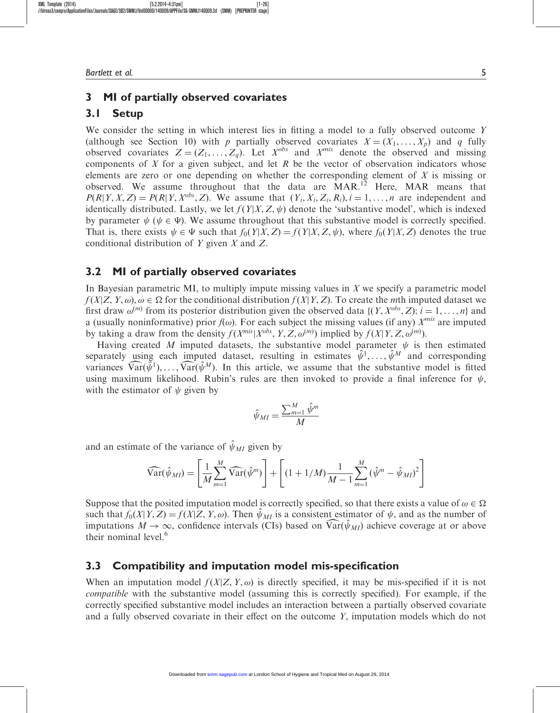# 3 MI of partially observed covariates

## 3.1 Setup

We consider the setting in which interest lies in fitting a model to a fully observed outcome Y (although see Section 10) with p partially observed covariates  $X = (X_1, \ldots, X_p)$  and q fully observed covariates  $Z = (Z_1, \ldots, Z_q)$ . Let  $X^{obs}$  and  $X^{mis}$  denote the observed and missing components of X for a given subject, and let R be the vector of observation indicators whose elements are zero or one depending on whether the corresponding element of  $X$  is missing or observed. We assume throughout that the data are MAR.<sup>12</sup> Here, MAR means that  $P(R|Y, X, Z) = P(R|Y, X^{obs}, Z)$ . We assume that  $(Y_i, X_i, Z_i, R_i)$ ,  $i = 1, ..., n$  are independent and identically distributed. Lastly, we let  $f(Y|X, Z, \psi)$  denote the 'substantive model', which is indexed by parameter  $\psi$  ( $\psi \in \Psi$ ). We assume throughout that this substantive model is correctly specified. That is, there exists  $\psi \in \Psi$  such that  $f_0(Y|X, Z) = f(Y|X, Z, \psi)$ , where  $f_0(Y|X, Z)$  denotes the true conditional distribution of Y given X and Z.

## 3.2 MI of partially observed covariates

In Bayesian parametric MI, to multiply impute missing values in  $X$  we specify a parametric model  $f(X|Z, Y, \omega)$ ,  $\omega \in \Omega$  for the conditional distribution  $f(X|Y, Z)$ . To create the mth imputed dataset we first draw  $\omega^{(m)}$  from its posterior distribution given the observed data  $\{(Y, X^{obs}, Z); i = 1, ..., n\}$  and a (usually noninformative) prior  $f(\omega)$ . For each subject the missing values (if any)  $X^{mis}$  are imputed by taking a draw from the density  $f(X^{mis}|X^{obs}, Y, Z, \omega^{(m)})$  implied by  $f(X|Y, Z, \omega^{(m)})$ .

Having created M imputed datasets, the substantive model parameter  $\psi$  is then estimated separately using each imputed dataset, resulting in estimates  $\hat{\psi}^1, \ldots, \hat{\psi}^M$  and corresponding variances  $\widehat{\text{Var}}(\hat{\psi}^1), \ldots, \widehat{\text{Var}}(\hat{\psi}^M)$ . In this article, we assume that the substantive model is fitted using maximum likelihood. Rubin's rules are then invoked to provide a final inference for  $\psi$ , with the estimator of  $\psi$  given by

$$
\hat{\psi}_{MI} = \frac{\sum_{m=1}^{M} \hat{\psi}^{m}}{M}
$$

and an estimate of the variance of  $\hat{\psi}_{MI}$  given by

$$
\widehat{\text{Var}}(\hat{\psi}_{MI}) = \left[\frac{1}{M} \sum_{m=1}^{M} \widehat{\text{Var}}(\hat{\psi}^m)\right] + \left[ (1 + 1/M) \frac{1}{M - 1} \sum_{m=1}^{M} (\hat{\psi}^m - \hat{\psi}_{MI})^2 \right]
$$

Suppose that the posited imputation model is correctly specified, so that there exists a value of  $\omega \in \Omega$ such that  $f_0(X|Y, Z) = f(X|Z, Y, \omega)$ . Then  $\hat{\psi}_M$  is a consistent estimator of  $\psi$ , and as the number of imputations  $M \to \infty$ , confidence intervals (CIs) based on  $\widehat{\text{Var}}(\hat{\psi}_M)$  achieve coverage at or above their nominal level.<sup>6</sup>

## 3.3 Compatibility and imputation model mis-specification

When an imputation model  $f(X|Z, Y, \omega)$  is directly specified, it may be mis-specified if it is not compatible with the substantive model (assuming this is correctly specified). For example, if the correctly specified substantive model includes an interaction between a partially observed covariate and a fully observed covariate in their effect on the outcome Y, imputation models which do not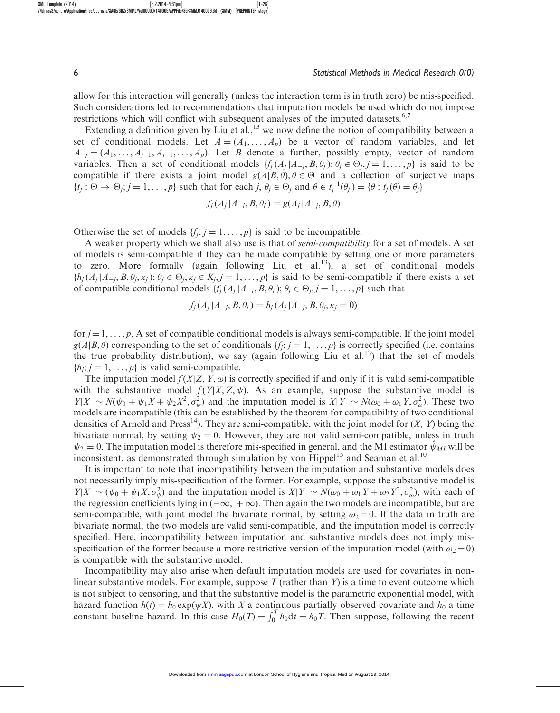allow for this interaction will generally (unless the interaction term is in truth zero) be mis-specified. Such considerations led to recommendations that imputation models be used which do not impose restrictions which will conflict with subsequent analyses of the imputed datasets.<sup>6,7</sup>

Extending a definition given by Liu et  $aL$ ,<sup>13</sup> we now define the notion of compatibility between a set of conditional models. Let  $A = (A_1, \ldots, A_n)$  be a vector of random variables, and let  $A_{-j} = (A_1, \ldots, A_{j-1}, A_{j+1}, \ldots, A_p)$ . Let B denote a further, possibly empty, vector of random variables. Then a set of conditional models  $\{f_j(A_j|A_{-j},B,\theta_j); \theta_j \in \Theta_j, j=1,\ldots,p\}$  is said to be compatible if there exists a joint model  $g(A|B,\theta), \theta \in \Theta$  and a collection of surjective maps  $\{t_j : \Theta \to \Theta_j; j = 1, \dots, p\}$  such that for each  $j, \theta_j \in \Theta_j$  and  $\theta \in t_j^{-1}(\theta_j) = \{\theta : t_j(\theta) = \theta_j\}$ 

$$
f_j(A_j | A_{-j}, B, \theta_j) = g(A_j | A_{-j}, B, \theta)
$$

Otherwise the set of models  $\{f_i; j = 1, \ldots, p\}$  is said to be incompatible.

A weaker property which we shall also use is that of semi-compatibility for a set of models. A set of models is semi-compatible if they can be made compatible by setting one or more parameters to zero. More formally (again following Liu et  $al^{1,1}$ ), a set of conditional models  $\{h_j(A_j|A_{-j}, B, \theta_j, \kappa_j); \theta_j \in \Theta_j, \kappa_j \in K_j, j = 1, \ldots, p\}$  is said to be semi-compatible if there exists a set of compatible conditional models  $\{f_j(A_j | A_{-j}, B, \theta_j) ; \theta_j \in \Theta_j, j = 1, \ldots, p\}$  such that

$$
f_j(A_j|A_{-j}, B, \theta_j) = h_j(A_j|A_{-j}, B, \theta_j, \kappa_j = 0)
$$

for  $j = 1, \ldots, p$ . A set of compatible conditional models is always semi-compatible. If the joint model  $g(A|B,\theta)$  corresponding to the set of conditionals  $\{f_i; j = 1, \ldots, p\}$  is correctly specified (i.e. contains the true probability distribution), we say (again following Liu et al.<sup>13</sup>) that the set of models  $\{h_i; j = 1, \ldots, p\}$  is valid semi-compatible.

The imputation model  $f(X|Z, Y, \omega)$  is correctly specified if and only if it is valid semi-compatible with the substantive model  $f(Y|X, Z, \psi)$ . As an example, suppose the substantive model is  $Y|X \sim N(\psi_0 + \psi_1 X + \psi_2 X^2, \sigma_{\psi}^2)$  and the imputation model is  $X|Y \sim N(\omega_0 + \omega_1 Y, \sigma_{\omega}^2)$ . These two models are incompatible (this can be established by the theorem for compatibility of two conditional densities of Arnold and Press<sup>14</sup>). They are semi-compatible, with the joint model for  $(X, Y)$  being the bivariate normal, by setting  $\psi_2 = 0$ . However, they are not valid semi-compatible, unless in truth  $\psi_2 = 0$ . The imputation model is therefore mis-specified in general, and the MI estimator  $\hat{\psi}_{MI}$  will be inconsistent, as demonstrated through simulation by von  $\text{Hippel}^{15}$  and Seaman et al.<sup>10</sup>

It is important to note that incompatibility between the imputation and substantive models does not necessarily imply mis-specification of the former. For example, suppose the substantive model is  $Y|X \sim (\psi_0 + \psi_1 X, \sigma_{\psi}^2)$  and the imputation model is  $X|Y \sim N(\omega_0 + \omega_1 Y + \omega_2 Y^2, \sigma_{\omega}^2)$ , with each of the regression coefficients lying in  $(-\infty, +\infty)$ . Then again the two models are incompatible, but are semi-compatible, with joint model the bivariate normal, by setting  $\omega_2 = 0$ . If the data in truth are bivariate normal, the two models are valid semi-compatible, and the imputation model is correctly specified. Here, incompatibility between imputation and substantive models does not imply misspecification of the former because a more restrictive version of the imputation model (with  $\omega_2 = 0$ ) is compatible with the substantive model.

Incompatibility may also arise when default imputation models are used for covariates in nonlinear substantive models. For example, suppose  $T$  (rather than  $Y$ ) is a time to event outcome which is not subject to censoring, and that the substantive model is the parametric exponential model, with hazard function  $h(t) = h_0 \exp(\psi X)$ , with X a continuous partially observed covariate and  $h_0$  a time constant baseline hazard. In this case  $H_0(T) = \int_0^T h_0 dt = h_0T$ . Then suppose, following the recent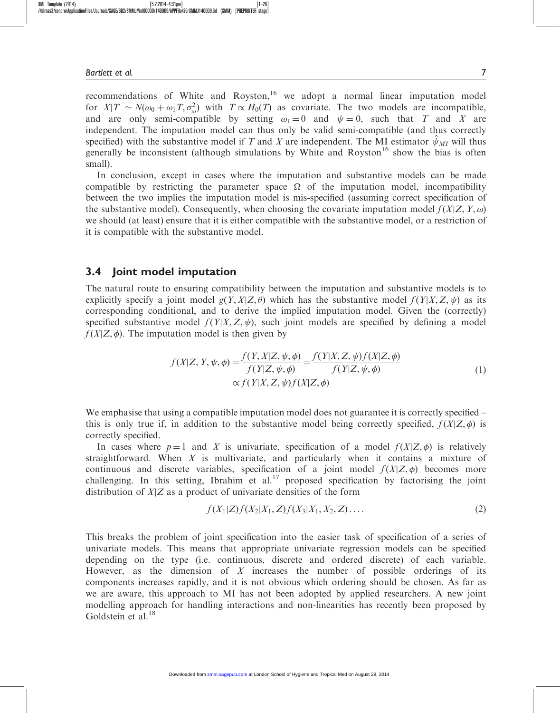recommendations of White and Royston,<sup>16</sup> we adopt a normal linear imputation model for  $X|T \sim N(\omega_0 + \omega_1 T, \sigma_\omega^2)$  with  $T \propto H_0(T)$  as covariate. The two models are incompatible, and are only semi-compatible by setting  $\omega_1 = 0$  and  $\psi = 0$ , such that T and X are independent. The imputation model can thus only be valid semi-compatible (and thus correctly specified) with the substantive model if T and X are independent. The MI estimator  $\hat{\psi}_{MI}$  will thus generally be inconsistent (although simulations by White and Royston<sup>16</sup> show the bias is often small).

In conclusion, except in cases where the imputation and substantive models can be made compatible by restricting the parameter space  $\Omega$  of the imputation model, incompatibility between the two implies the imputation model is mis-specified (assuming correct specification of the substantive model). Consequently, when choosing the covariate imputation model  $f(X|Z, Y, \omega)$ we should (at least) ensure that it is either compatible with the substantive model, or a restriction of it is compatible with the substantive model.

#### 3.4 Joint model imputation

The natural route to ensuring compatibility between the imputation and substantive models is to explicitly specify a joint model  $g(Y, X|Z, \theta)$  which has the substantive model  $f(Y|X, Z, \psi)$  as its corresponding conditional, and to derive the implied imputation model. Given the (correctly) specified substantive model  $f(Y|X, Z, \psi)$ , such joint models are specified by defining a model  $f(X|Z, \phi)$ . The imputation model is then given by

$$
f(X|Z, Y, \psi, \phi) = \frac{f(Y, X|Z, \psi, \phi)}{f(Y|Z, \psi, \phi)} = \frac{f(Y|X, Z, \psi)f(X|Z, \phi)}{f(Y|Z, \psi, \phi)}
$$
  
 
$$
\propto f(Y|X, Z, \psi)f(X|Z, \phi)
$$
 (1)

We emphasise that using a compatible imputation model does not guarantee it is correctly specified – this is only true if, in addition to the substantive model being correctly specified,  $f(X|Z, \phi)$  is correctly specified.

In cases where  $p = 1$  and X is univariate, specification of a model  $f(X|Z, \phi)$  is relatively straightforward. When  $X$  is multivariate, and particularly when it contains a mixture of continuous and discrete variables, specification of a joint model  $f(X|Z, \phi)$  becomes more challenging. In this setting, Ibrahim et al.<sup>17</sup> proposed specification by factorising the joint distribution of  $X|Z$  as a product of univariate densities of the form

$$
f(X_1|Z)f(X_2|X_1,Z)f(X_3|X_1,X_2,Z)\ldots
$$
 (2)

This breaks the problem of joint specification into the easier task of specification of a series of univariate models. This means that appropriate univariate regression models can be specified depending on the type (i.e. continuous, discrete and ordered discrete) of each variable. However, as the dimension of  $X$  increases the number of possible orderings of its components increases rapidly, and it is not obvious which ordering should be chosen. As far as we are aware, this approach to MI has not been adopted by applied researchers. A new joint modelling approach for handling interactions and non-linearities has recently been proposed by Goldstein et al.<sup>18</sup>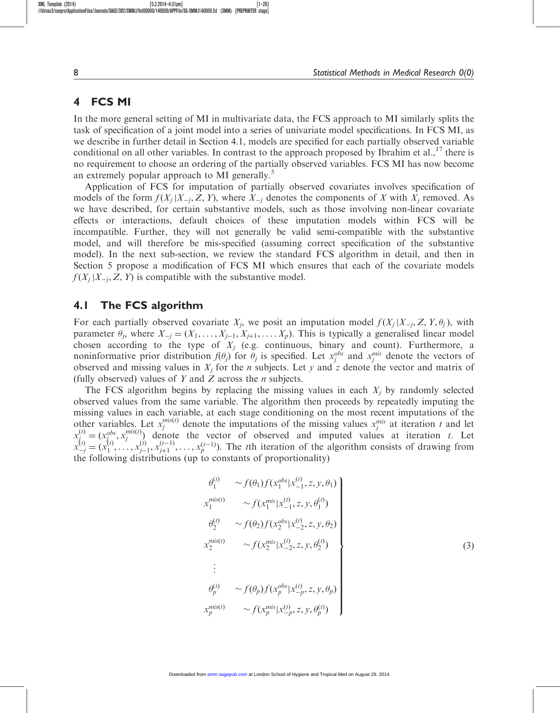# 4 FCS MI

In the more general setting of MI in multivariate data, the FCS approach to MI similarly splits the task of specification of a joint model into a series of univariate model specifications. In FCS MI, as we describe in further detail in Section 4.1, models are specified for each partially observed variable conditional on all other variables. In contrast to the approach proposed by Ibrahim et al.,<sup>17</sup> there is no requirement to choose an ordering of the partially observed variables. FCS MI has now become an extremely popular approach to MI generally.<sup>5</sup>

Application of FCS for imputation of partially observed covariates involves specification of models of the form  $f(X_j|X_{-j}, Z, Y)$ , where  $X_{-j}$  denotes the components of X with  $X_j$  removed. As we have described, for certain substantive models, such as those involving non-linear covariate effects or interactions, default choices of these imputation models within FCS will be incompatible. Further, they will not generally be valid semi-compatible with the substantive model, and will therefore be mis-specified (assuming correct specification of the substantive model). In the next sub-section, we review the standard FCS algorithm in detail, and then in Section 5 propose a modification of FCS MI which ensures that each of the covariate models  $f(X_j|X_{-j}, Z, Y)$  is compatible with the substantive model.

## 4.1 The FCS algorithm

For each partially observed covariate  $X_j$ , we posit an imputation model  $f(X_j|X_{-j}, Z, Y, \theta_j)$ , with parameter  $\theta_j$ , where  $X_{-j} = (X_1, \ldots, X_{j-1}, X_{j+1}, \ldots, X_p)$ . This is typically a generalised linear model chosen according to the type of  $X_i$  (e.g. continuous, binary and count). Furthermore, a noninformative prior distribution  $f(\theta_j)$  for  $\theta_j$  is specified. Let  $x_j^{obs}$  and  $x_j^{mis}$  denote the vectors of observed and missing values in  $X_i$  for the *n* subjects. Let y and z denote the vector and matrix of (fully observed) values of Y and Z across the  $n$  subjects.

The FCS algorithm begins by replacing the missing values in each  $X_i$  by randomly selected observed values from the same variable. The algorithm then proceeds by repeatedly imputing the missing values in each variable, at each stage conditioning on the most recent imputations of the other variables. Let  $x_j^{mis(t)}$  denote the imputations of the missing values  $x_j^{mis}$  at iteration t and let  $x_{i_0}^{(t)} = (x_{i_0}^{obs}, x_j^{mis(t)})$  denote the vector of observed and imputed values at iteration t. Let  $x_{-j}^{(t)} = (x_1^{(t)}, \ldots, x_{j-1}^{(t)}, x_{j+1}^{(t-1)}, \ldots, x_p^{(t-1)})$ . The *t*th iteration of the algorithm consists of drawing from the following distributions (up to constants of proportionality)

$$
\theta_{1}^{(t)} \sim f(\theta_{1}) f(x_{1}^{obs} | x_{-1}^{(t)}, z, y, \theta_{1})
$$
\n
$$
x_{1}^{mis(t)} \sim f(x_{1}^{mis} | x_{-1}^{(t)}, z, y, \theta_{1}^{(t)})
$$
\n
$$
\theta_{2}^{(t)} \sim f(\theta_{2}) f(x_{2}^{obs} | x_{-2}^{(t)}, z, y, \theta_{2})
$$
\n
$$
x_{2}^{mis(t)} \sim f(x_{2}^{mis} | x_{-2}^{(t)}, z, y, \theta_{2}^{(t)})
$$
\n
$$
\vdots
$$
\n
$$
\theta_{p}^{(t)} \sim f(\theta_{p}) f(x_{p}^{obs} | x_{-p}^{(t)}, z, y, \theta_{p})
$$
\n
$$
x_{p}^{mis(t)} \sim f(x_{p}^{mis} | x_{-p}^{(t)}, z, y, \theta_{p}^{(t)})
$$
\n(3)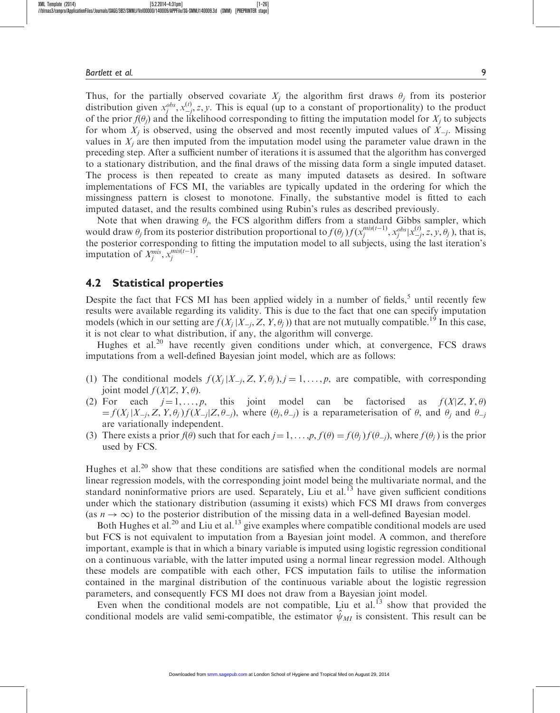Thus, for the partially observed covariate  $X_i$  the algorithm first draws  $\theta_i$  from its posterior distribution given  $x_j^{obs}, x_{j}^{(t)}, z, y$ . This is equal (up to a constant of proportionality) to the product of the prior  $f(\theta_i)$  and the likelihood corresponding to fitting the imputation model for  $X_i$  to subjects for whom  $X_j$  is observed, using the observed and most recently imputed values of  $X_{-j}$ . Missing values in  $X_i$  are then imputed from the imputation model using the parameter value drawn in the preceding step. After a sufficient number of iterations it is assumed that the algorithm has converged to a stationary distribution, and the final draws of the missing data form a single imputed dataset. The process is then repeated to create as many imputed datasets as desired. In software implementations of FCS MI, the variables are typically updated in the ordering for which the missingness pattern is closest to monotone. Finally, the substantive model is fitted to each imputed dataset, and the results combined using Rubin's rules as described previously.

Note that when drawing  $\theta_i$ , the FCS algorithm differs from a standard Gibbs sampler, which would draw  $\theta_j$  from its posterior distribution proportional to  $f(\theta_j) f(x_j^{mis(t-1)}, x_j^{obs}|x_{-j}^{(t)}, z, y, \theta_j)$ , that is, the posterior corresponding to fitting the imputation model to all subjects, using the last iteration's the posterior corresponding to fitting the imputation model to all subjects, using the last iteration's imputation of  $X_j^{mis}, X_j^{mis(t-1)}$ .

## 4.2 Statistical properties

Despite the fact that FCS MI has been applied widely in a number of fields,<sup>5</sup> until recently few results were available regarding its validity. This is due to the fact that one can specify imputation models (which in our setting are  $f(X_j|X_{-j}, Z, Y, \theta_j)$ ) that are not mutually compatible.<sup>19</sup> In this case, it is not clear to what distribution, if any, the algorithm will converge.

Hughes et al.<sup>20</sup> have recently given conditions under which, at convergence, FCS draws imputations from a well-defined Bayesian joint model, which are as follows:

- (1) The conditional models  $f(X_j|X_{-j}, Z, Y, \theta_j)$ ,  $j = 1, ..., p$ , are compatible, with corresponding joint model  $f(X|Z, Y, \theta)$ .
- (2) For each  $j = 1, \ldots, p$ , this joint model can be factorised as  $f(X|Z, Y, \theta)$  $=f(X_j|X_{-j}, Z, Y, \theta_j)f(X_{-j}|Z, \theta_{-j})$ , where  $(\theta_j, \theta_{-j})$  is a reparameterisation of  $\theta$ , and  $\theta_j$  and  $\theta_{-j}$ are variationally independent.
- (3) There exists a prior  $f(\theta)$  such that for each  $j = 1, ..., p$ ,  $f(\theta) = f(\theta_j) f(\theta_{-j})$ , where  $f(\theta_j)$  is the prior used by FCS.

Hughes et al.<sup>20</sup> show that these conditions are satisfied when the conditional models are normal linear regression models, with the corresponding joint model being the multivariate normal, and the standard noninformative priors are used. Separately, Liu et al.<sup>13</sup> have given sufficient conditions under which the stationary distribution (assuming it exists) which FCS MI draws from converges (as  $n \to \infty$ ) to the posterior distribution of the missing data in a well-defined Bayesian model.

Both Hughes et  $aL^{20}$  and Liu et al.<sup>13</sup> give examples where compatible conditional models are used but FCS is not equivalent to imputation from a Bayesian joint model. A common, and therefore important, example is that in which a binary variable is imputed using logistic regression conditional on a continuous variable, with the latter imputed using a normal linear regression model. Although these models are compatible with each other, FCS imputation fails to utilise the information contained in the marginal distribution of the continuous variable about the logistic regression parameters, and consequently FCS MI does not draw from a Bayesian joint model.

Even when the conditional models are not compatible, Liu et al.<sup>13</sup> show that provided the conditional models are valid semi-compatible, the estimator  $\hat{\psi}_{MI}$  is consistent. This result can be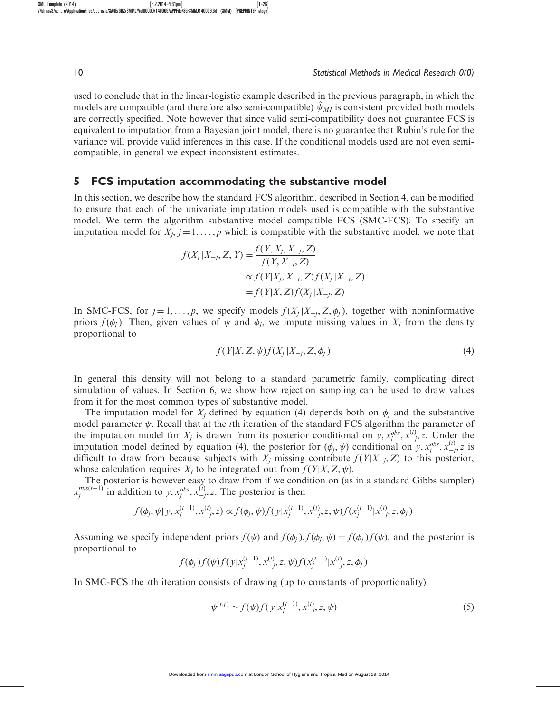used to conclude that in the linear-logistic example described in the previous paragraph, in which the models are compatible (and therefore also semi-compatible)  $\hat{\psi}_{MI}$  is consistent provided both models are correctly specified. Note however that since valid semi-compatibility does not guarantee FCS is equivalent to imputation from a Bayesian joint model, there is no guarantee that Rubin's rule for the variance will provide valid inferences in this case. If the conditional models used are not even semicompatible, in general we expect inconsistent estimates.

## 5 FCS imputation accommodating the substantive model

In this section, we describe how the standard FCS algorithm, described in Section 4, can be modified to ensure that each of the univariate imputation models used is compatible with the substantive model. We term the algorithm substantive model compatible FCS (SMC-FCS). To specify an imputation model for  $X_i$ ,  $j = 1, \ldots, p$  which is compatible with the substantive model, we note that

$$
f(X_j | X_{-j}, Z, Y) = \frac{f(Y, X_j, X_{-j}, Z)}{f(Y, X_{-j}, Z)}
$$
  
 
$$
\propto f(Y | X_j, X_{-j}, Z) f(X_j | X_{-j}, Z)
$$
  
=  $f(Y | X, Z) f(X_j | X_{-j}, Z)$ 

In SMC-FCS, for  $j = 1, \ldots, p$ , we specify models  $f(X_j | X_{-j}, Z, \phi_j)$ , together with noninformative priors  $f(\phi_i)$ . Then, given values of  $\psi$  and  $\phi_i$ , we impute missing values in  $X_i$  from the density proportional to

$$
f(Y|X,Z,\psi)f(X_j|X_{-j},Z,\phi_j)
$$
\n<sup>(4)</sup>

In general this density will not belong to a standard parametric family, complicating direct simulation of values. In Section 6, we show how rejection sampling can be used to draw values from it for the most common types of substantive model.

The imputation model for  $X_i$  defined by equation (4) depends both on  $\phi_i$  and the substantive model parameter  $\psi$ . Recall that at the *t*th iteration of the standard FCS algorithm the parameter of the imputation model for  $X_j$  is drawn from its posterior conditional on  $y, x_j^{obs}, x_{-j}^{(t)}$ , z. Under the imputation model defined by equation (4), the posterior for  $(\phi_j, \psi)$  conditional on  $y, x_j^{obs}, x_{-j}^{(t)}$ , z is difficult to draw from because subjects with  $X_j$  missing contribute  $f(Y|X_{-j}, Z)$  to this posterior, whose calculation requires  $X_i$  to be integrated out from  $f(Y|X, Z, \psi)$ .

The posterior is however easy to draw from if we condition on (as in a standard Gibbs sampler)  $x_j^{mis(t-1)}$  in addition to y,  $x_j^{obs}$ ,  $x_{-j}^{(t)}$ , z. The posterior is then

$$
f(\phi_j, \psi | y, x_j^{(t-1)}, x_{-j}^{(t)}, z) \propto f(\phi_j, \psi) f(y | x_j^{(t-1)}, x_{-j}^{(t)}, z, \psi) f(x_j^{(t-1)} | x_{-j}^{(t)}, z, \phi_j)
$$

Assuming we specify independent priors  $f(\psi)$  and  $f(\phi_i)$ ,  $f(\phi_i, \psi) = f(\phi_i) f(\psi)$ , and the posterior is proportional to

$$
f(\phi_j)f(\psi)f(y|x_j^{(t-1)},x_{-j}^{(t)},z,\psi)f(x_j^{(t-1)}|x_{-j}^{(t)},z,\phi_j)
$$

In SMC-FCS the tth iteration consists of drawing (up to constants of proportionality)

$$
\psi^{(t,j)} \sim f(\psi) f(\mathbf{y}|\mathbf{x}_j^{(t-1)}, \mathbf{x}_{-j}^{(t)}, z, \psi) \tag{5}
$$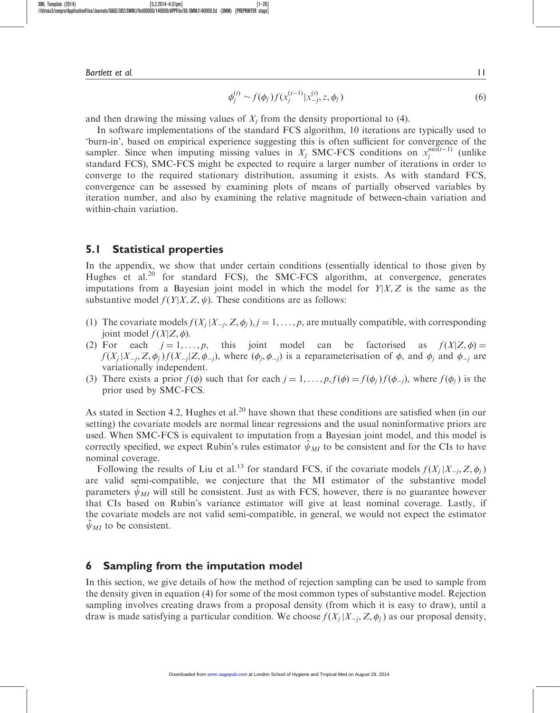$$
\phi_j^{(t)} \sim f(\phi_j) f(x_j^{(t-1)} | x_{-j}^{(t)}, z, \phi_j)
$$
\n(6)

and then drawing the missing values of  $X_i$  from the density proportional to (4).

In software implementations of the standard FCS algorithm, 10 iterations are typically used to 'burn-in', based on empirical experience suggesting this is often sufficient for convergence of the sampler. Since when imputing missing values in  $X_j$  SMC-FCS conditions on  $x_j^{mis(t-1)}$  (unlike standard FCS), SMC-FCS might be expected to require a larger number of iterations in order to converge to the required stationary distribution, assuming it exists. As with standard FCS, convergence can be assessed by examining plots of means of partially observed variables by iteration number, and also by examining the relative magnitude of between-chain variation and within-chain variation.

## 5.1 Statistical properties

In the appendix, we show that under certain conditions (essentially identical to those given by Hughes et al.<sup>20</sup> for standard FCS), the SMC-FCS algorithm, at convergence, generates imputations from a Bayesian joint model in which the model for  $Y|X, Z$  is the same as the substantive model  $f(Y|X, Z, \psi)$ . These conditions are as follows:

- (1) The covariate models  $f(X_j|X_{-j}, Z, \phi_j)$ ,  $j = 1, \ldots, p$ , are mutually compatible, with corresponding joint model  $f(X|Z, \phi)$ .
- (2) For each  $j = 1, ..., p$ , this joint model can be factorised as  $f(X|Z, \phi) =$  $f(X_j|X_{-j}, Z, \phi_j)f(X_{-j}|Z, \phi_{-j})$ , where  $(\phi_j, \phi_{-j})$  is a reparameterisation of  $\phi$ , and  $\phi_j$  and  $\phi_{-j}$  are variationally independent.
- (3) There exists a prior  $f(\phi)$  such that for each  $j = 1, \ldots, p, f(\phi) = f(\phi_j)f(\phi_{-j})$ , where  $f(\phi_j)$  is the prior used by SMC-FCS.

As stated in Section 4.2, Hughes et al.<sup>20</sup> have shown that these conditions are satisfied when (in our setting) the covariate models are normal linear regressions and the usual noninformative priors are used. When SMC-FCS is equivalent to imputation from a Bayesian joint model, and this model is correctly specified, we expect Rubin's rules estimator  $\psi_{MI}$  to be consistent and for the CIs to have nominal coverage.

Following the results of Liu et al.<sup>13</sup> for standard FCS, if the covariate models  $f(X_j|X_{-j}, Z, \phi_j)$ are valid semi-compatible, we conjecture that the MI estimator of the substantive model parameters  $\hat{\psi}_M$  will still be consistent. Just as with FCS, however, there is no guarantee however that CIs based on Rubin's variance estimator will give at least nominal coverage. Lastly, if the covariate models are not valid semi-compatible, in general, we would not expect the estimator  $\psi_{MI}$  to be consistent.

## 6 Sampling from the imputation model

In this section, we give details of how the method of rejection sampling can be used to sample from the density given in equation (4) for some of the most common types of substantive model. Rejection sampling involves creating draws from a proposal density (from which it is easy to draw), until a draw is made satisfying a particular condition. We choose  $f(X_j|X_{-j}, Z, \phi_j)$  as our proposal density,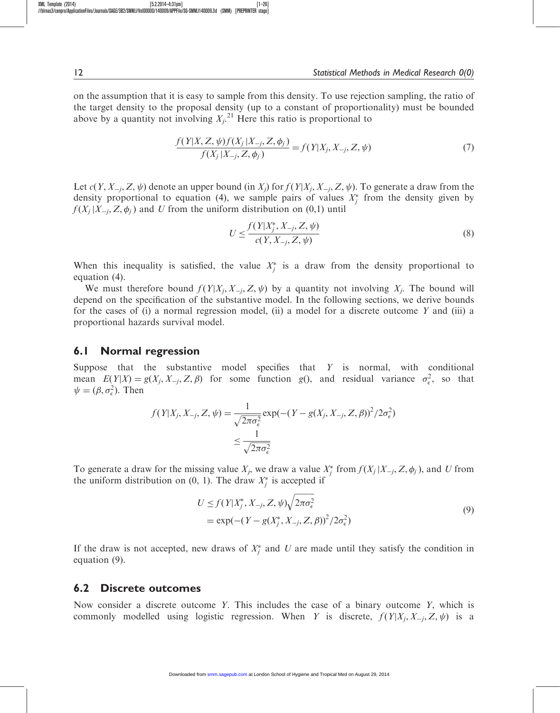on the assumption that it is easy to sample from this density. To use rejection sampling, the ratio of the target density to the proposal density (up to a constant of proportionality) must be bounded above by a quantity not involving  $X_j$ <sup>21</sup> Here this ratio is proportional to

$$
\frac{f(Y|X,Z,\psi)f(X_j|X_{-j},Z,\phi_j)}{f(X_j|X_{-j},Z,\phi_j)} = f(Y|X_j,X_{-j},Z,\psi)
$$
\n(7)

Let  $c(Y, X_{-j}, Z, \psi)$  denote an upper bound (in  $X_j$ ) for  $f(Y|X_j, X_{-j}, Z, \psi)$ . To generate a draw from the density proportional to equation (4), we sample pairs of values  $X_j^*$  from the density given by  $f(X_j|X_{-j}, Z, \phi_j)$  and U from the uniform distribution on  $(0,1)$  until

$$
U \le \frac{f(Y|X_j^*, X_{-j}, Z, \psi)}{c(Y, X_{-j}, Z, \psi)}
$$
\n(8)

When this inequality is satisfied, the value  $X_j^*$  is a draw from the density proportional to equation (4).

We must therefore bound  $f(Y|X_j, X_{-j}, Z, \psi)$  by a quantity not involving  $X_j$ . The bound will depend on the specification of the substantive model. In the following sections, we derive bounds for the cases of (i) a normal regression model, (ii) a model for a discrete outcome Y and (iii) a proportional hazards survival model.

#### 6.1 Normal regression

Suppose that the substantive model specifies that  $Y$  is normal, with conditional mean  $E(Y|X) = g(X_j, X_{-j}, Z, \beta)$  for some function g(), and residual variance  $\sigma_{\epsilon}^2$ , so that  $\psi = (\beta, \sigma_{\epsilon}^2)$ . Then

$$
f(Y|X_j, X_{-j}, Z, \psi) = \frac{1}{\sqrt{2\pi\sigma_{\epsilon}^2}} \exp(-(Y - g(X_j, X_{-j}, Z, \beta))^2 / 2\sigma_{\epsilon}^2)
$$

$$
\leq \frac{1}{\sqrt{2\pi\sigma_{\epsilon}^2}}
$$

To generate a draw for the missing value  $X_j$ , we draw a value  $X_j^*$  from  $f(X_j|X_{-j}, Z, \phi_j)$ , and U from the uniform distribution on  $(0, 1)$ . The draw  $X_j^*$  is accepted if

$$
U \le f(Y|X_j^*, X_{-j}, Z, \psi) \sqrt{2\pi \sigma_{\epsilon}^2}
$$
  
=  $\exp(-(Y - g(X_j^*, X_{-j}, Z, \beta))^2 / 2\sigma_{\epsilon}^2)$  (9)

If the draw is not accepted, new draws of  $X_j^*$  and U are made until they satisfy the condition in equation (9).

## 6.2 Discrete outcomes

Now consider a discrete outcome Y. This includes the case of a binary outcome Y, which is commonly modelled using logistic regression. When Y is discrete,  $f(Y|X_j, X_{-j}, Z, \psi)$  is a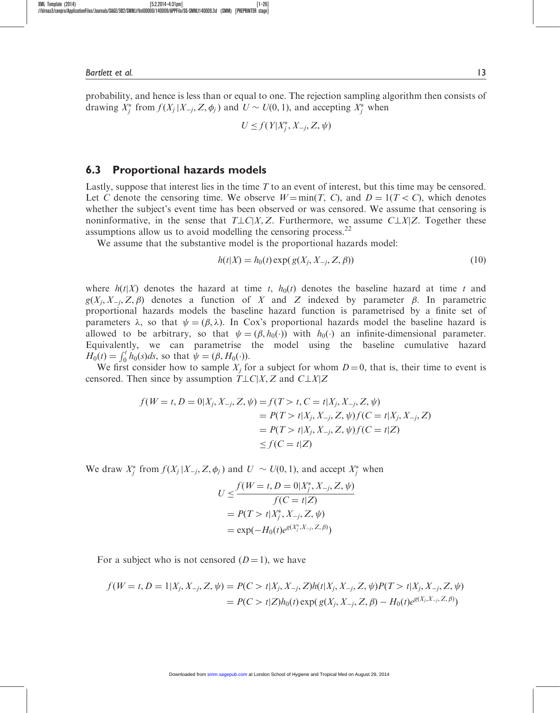probability, and hence is less than or equal to one. The rejection sampling algorithm then consists of drawing  $X_j^*$  from  $f(X_j | X_{-j}, Z, \phi_j)$  and  $U \sim U(0, 1)$ , and accepting  $X_j^*$  when

$$
U \leq f(Y|X_j^*, X_{-j}, Z, \psi)
$$

#### 6.3 Proportional hazards models

Lastly, suppose that interest lies in the time T to an event of interest, but this time may be censored. Let C denote the censoring time. We observe  $W = \min(T, C)$ , and  $D = 1(T < C)$ , which denotes whether the subject's event time has been observed or was censored. We assume that censoring is noninformative, in the sense that  $T\perp C|X,Z$ . Furthermore, we assume  $C\perp X|Z$ . Together these assumptions allow us to avoid modelling the censoring process.<sup>22</sup>

We assume that the substantive model is the proportional hazards model:

$$
h(t|X) = h_0(t) \exp(g(X_j, X_{-j}, Z, \beta))
$$
\n(10)

where  $h(t|X)$  denotes the hazard at time t,  $h_0(t)$  denotes the baseline hazard at time t and  $g(X_j, X_{-j}, Z, \beta)$  denotes a function of X and Z indexed by parameter  $\beta$ . In parametric proportional hazards models the baseline hazard function is parametrised by a finite set of parameters  $\lambda$ , so that  $\psi = (\beta, \lambda)$ . In Cox's proportional hazards model the baseline hazard is allowed to be arbitrary, so that  $\psi = (\beta, h_0(\cdot))$  with  $h_0(\cdot)$  an infinite-dimensional parameter. Equivalently, we can parametrise the model using the baseline cumulative hazard  $H_0(t) = \int_0^t h_0(s) ds$ , so that  $\psi = (\beta, H_0(\cdot)).$ 

We first consider how to sample  $X_i$  for a subject for whom  $D = 0$ , that is, their time to event is censored. Then since by assumption  $T \perp C |X, Z$  and  $C \perp X|Z$ 

$$
f(W = t, D = 0 | X_j, X_{-j}, Z, \psi) = f(T > t, C = t | X_j, X_{-j}, Z, \psi)
$$
  
=  $P(T > t | X_j, X_{-j}, Z, \psi) f(C = t | X_j, X_{-j}, Z)$   
=  $P(T > t | X_j, X_{-j}, Z, \psi) f(C = t | Z)$   
 $\leq f(C = t | Z)$ 

We draw  $X_j^*$  from  $f(X_j | X_{-j}, Z, \phi_j)$  and  $U \sim U(0, 1)$ , and accept  $X_j^*$  when

$$
U \leq \frac{f(W = t, D = 0 | X_j^*, X_{-j}, Z, \psi)}{f(C = t | Z)}
$$
  
=  $P(T > t | X_j^*, X_{-j}, Z, \psi)$   
=  $\exp(-H_0(t)e^{g(X_j^*, X_{-j}, Z, \beta)})$ 

For a subject who is not censored  $(D = 1)$ , we have

$$
f(W = t, D = 1 | X_j, X_{-j}, Z, \psi) = P(C > t | X_j, X_{-j}, Z)h(t | X_j, X_{-j}, Z, \psi)P(T > t | X_j, X_{-j}, Z, \psi)
$$
  
=  $P(C > t | Z)h_0(t) \exp(g(X_j, X_{-j}, Z, \beta) - H_0(t)e^{g(X_j, X_{-j}, Z, \beta)})$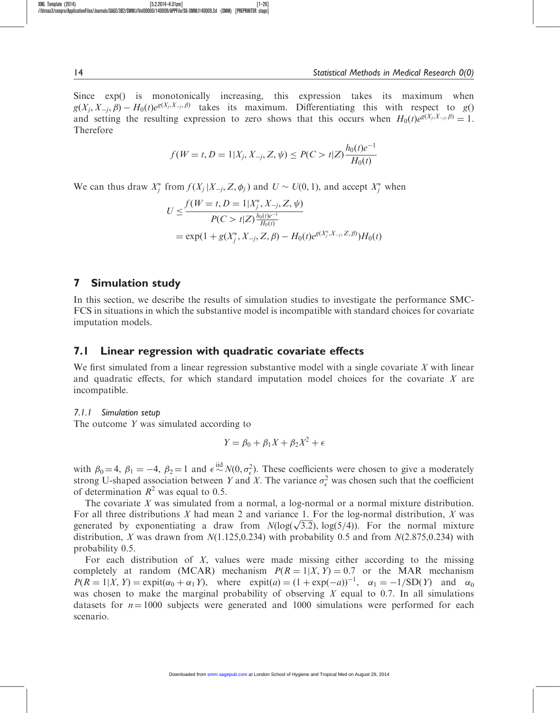Since  $exp()$  is monotonically increasing, this expression takes its maximum when  $g(X_j, X_{-j}, \beta) - H_0(t)e^{g(X_j, X_{-j}, \beta)}$  takes its maximum. Differentiating this with respect to  $g()$ and setting the resulting expression to zero shows that this occurs when  $H_0(t)e^{g(X_j,X_{-j},\beta)} = 1$ . Therefore

$$
f(W = t, D = 1 | X_j, X_{-j}, Z, \psi) \le P(C > t | Z) \frac{h_0(t)e^{-1}}{H_0(t)}
$$

We can thus draw  $X_j^*$  from  $f(X_j | X_{-j}, Z, \phi_j)$  and  $U \sim U(0, 1)$ , and accept  $X_j^*$  when

$$
U \leq \frac{f(W = t, D = 1 | X_j^*, X_{-j}, Z, \psi)}{P(C > t | Z) \frac{h_0(t)e^{-1}}{H_0(t)}}
$$
  
= exp(1 + g(X\_j^\*, X\_{-j}, Z, \beta) - H\_0(t)e^{g(X\_j^\*, X\_{-j}, Z, \beta)})H\_0(t)

## 7 Simulation study

In this section, we describe the results of simulation studies to investigate the performance SMC-FCS in situations in which the substantive model is incompatible with standard choices for covariate imputation models.

## 7.1 Linear regression with quadratic covariate effects

We first simulated from a linear regression substantive model with a single covariate  $X$  with linear and quadratic effects, for which standard imputation model choices for the covariate  $X$  are incompatible.

#### 7.1.1 Simulation setup

The outcome Y was simulated according to

$$
Y = \beta_0 + \beta_1 X + \beta_2 X^2 + \epsilon
$$

with  $\beta_0 = 4$ ,  $\beta_1 = -4$ ,  $\beta_2 = 1$  and  $\epsilon \stackrel{\text{iid}}{\sim} N(0, \sigma_{\epsilon}^2)$ . These coefficients were chosen to give a moderately strong U-shaped association between Y and X. The variance  $\sigma_{\epsilon}^2$  was chosen such that the coefficient of determination  $R^2$  was equal to 0.5.

The covariate X was simulated from a normal, a log-normal or a normal mixture distribution. For all three distributions  $X$  had mean 2 and variance 1. For the log-normal distribution,  $X$  was For an three distributions x had mean 2 and variance 1. For the log-hormal distribution, x was<br>generated by exponentiating a draw from  $N(\log(\sqrt{3.2})$ ,  $\log(5/4))$ . For the normal mixture distribution, X was drawn from  $N(1.125,0.234)$  with probability 0.5 and from  $N(2.875,0.234)$  with probability 0.5.

For each distribution of  $X$ , values were made missing either according to the missing completely at random (MCAR) mechanism  $P(R = 1|X, Y) = 0.7$  or the MAR mechanism  $P(R = 1|X, Y) = \text{expit}(\alpha_0 + \alpha_1 Y)$ , where  $\text{expit}(a) = (1 + \text{exp}(-a))^{-1}$ ,  $\alpha_1 = -1/\text{SD}(Y)$  and  $\alpha_0$ was chosen to make the marginal probability of observing  $X$  equal to 0.7. In all simulations datasets for  $n = 1000$  subjects were generated and 1000 simulations were performed for each scenario.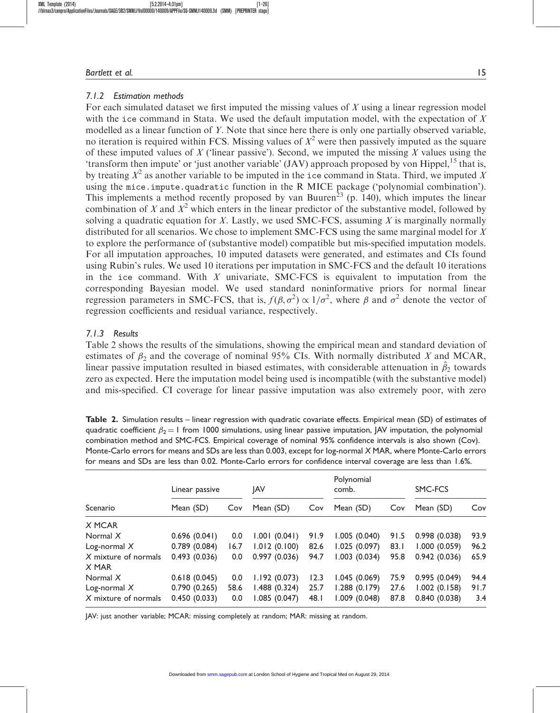#### 7.1.2 Estimation methods

For each simulated dataset we first imputed the missing values of  $X$  using a linear regression model with the ice command in Stata. We used the default imputation model, with the expectation of  $X$ modelled as a linear function of Y. Note that since here there is only one partially observed variable, no iteration is required within FCS. Missing values of  $X<sup>2</sup>$  were then passively imputed as the square of these imputed values of  $X$  ('linear passive'). Second, we imputed the missing  $X$  values using the 'transform then impute' or 'just another variable'  $(JAV)$  approach proposed by von Hippel, <sup>15</sup> that is, by treating  $X^2$  as another variable to be imputed in the ice command in Stata. Third, we imputed X using the mice.impute.quadratic function in the R MICE package ('polynomial combination'). This implements a method recently proposed by van Buuren<sup>23</sup> (p. 140), which imputes the linear combination of X and  $X^2$  which enters in the linear predictor of the substantive model, followed by solving a quadratic equation for X. Lastly, we used SMC-FCS, assuming X is marginally normally distributed for all scenarios. We chose to implement SMC-FCS using the same marginal model for  $X$ to explore the performance of (substantive model) compatible but mis-specified imputation models. For all imputation approaches, 10 imputed datasets were generated, and estimates and CIs found using Rubin's rules. We used 10 iterations per imputation in SMC-FCS and the default 10 iterations in the ice command. With  $X$  univariate, SMC-FCS is equivalent to imputation from the corresponding Bayesian model. We used standard noninformative priors for normal linear regression parameters in SMC-FCS, that is,  $f(\beta, \sigma^2) \propto 1/\sigma^2$ , where  $\beta$  and  $\sigma^2$  denote the vector of regression coefficients and residual variance, respectively.

#### 7.1.3 Results

Table 2 shows the results of the simulations, showing the empirical mean and standard deviation of estimates of  $\beta_2$  and the coverage of nominal 95% CIs. With normally distributed X and MCAR, linear passive imputation resulted in biased estimates, with considerable attenuation in  $\hat{\beta}_2$  towards zero as expected. Here the imputation model being used is incompatible (with the substantive model) and mis-specified. CI coverage for linear passive imputation was also extremely poor, with zero

| for means and SDs are less than 0.02. Monte-Carlo errors for confidence interval coverage are less than 1.6%.                 |
|-------------------------------------------------------------------------------------------------------------------------------|
| Monte-Carlo errors for means and SDs are less than 0.003, except for log-normal X MAR, where Monte-Carlo errors               |
| combination method and SMC-FCS. Empirical coverage of nominal 95% confidence intervals is also shown (Cov).                   |
| quadratic coefficient $\beta_2 = 1$ from 1000 simulations, using linear passive imputation, $ AV $ imputation, the polynomial |
| <b>Table 2.</b> Simulation results – iniear regression with quadratic covariate enects. Linpirical mean (SD) or estimates or  |

 $T$ 

|                               | Linear passive |      | <b>JAV</b>   |      | Polynomial<br>comb. |      | SMC-FCS      |      |
|-------------------------------|----------------|------|--------------|------|---------------------|------|--------------|------|
| Scenario                      | Mean (SD)      | Cov  | Mean (SD)    | Cov  | Mean (SD)           | Cov  | Mean (SD)    | Cov  |
| X MCAR                        |                |      |              |      |                     |      |              |      |
| Normal $X$                    | 0.696(0.041)   | 0.0  | 1.001(0.041) | 91.9 | 1.005 (0.040)       | 91.5 | 0.998(0.038) | 93.9 |
| Log-normal $X$                | 0.789(0.084)   | 16.7 | 1.012(0.100) | 82.6 | 1.025(0.097)        | 83.1 | 1.000(0.059) | 96.2 |
| X mixture of normals<br>X MAR | 0.493(0.036)   | 0.0  | 0.997(0.036) | 94.7 | 1.003(0.034)        | 95.8 | 0.942(0.036) | 65.9 |
| Normal X                      | 0.618(0.045)   | 0.0  | 1.192(0.073) | 12.3 | 1.045(0.069)        | 75.9 | 0.995(0.049) | 94.4 |
| Log-normal $X$                | 0.790(0.265)   | 58.6 | 1.488(0.324) | 25.7 | 1.288(0.179)        | 27.6 | 1.002(0.158) | 91.7 |
| X mixture of normals          | 0.450(0.033)   | 0.0  | 1.085(0.047) | 48.1 | 1.009(0.048)        | 87.8 | 0.840(0.038) | 3.4  |

JAV: just another variable; MCAR: missing completely at random; MAR: missing at random.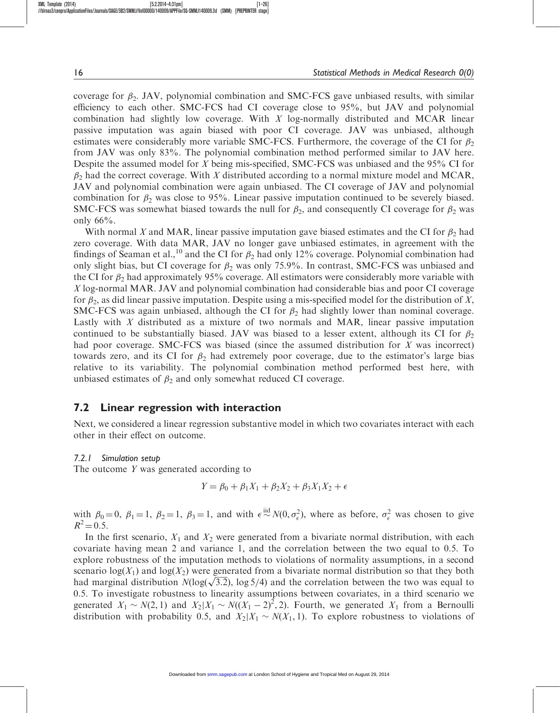coverage for  $\beta_2$ . JAV, polynomial combination and SMC-FCS gave unbiased results, with similar efficiency to each other. SMC-FCS had CI coverage close to 95%, but JAV and polynomial combination had slightly low coverage. With  $X$  log-normally distributed and MCAR linear passive imputation was again biased with poor CI coverage. JAV was unbiased, although estimates were considerably more variable SMC-FCS. Furthermore, the coverage of the CI for  $\beta_2$ from JAV was only 83%. The polynomial combination method performed similar to JAV here. Despite the assumed model for X being mis-specified, SMC-FCS was unbiased and the 95% CI for  $\beta_2$  had the correct coverage. With X distributed according to a normal mixture model and MCAR, JAV and polynomial combination were again unbiased. The CI coverage of JAV and polynomial combination for  $\beta_2$  was close to 95%. Linear passive imputation continued to be severely biased. SMC-FCS was somewhat biased towards the null for  $\beta_2$ , and consequently CI coverage for  $\beta_2$  was only 66%.

With normal X and MAR, linear passive imputation gave biased estimates and the CI for  $\beta_2$  had zero coverage. With data MAR, JAV no longer gave unbiased estimates, in agreement with the findings of Seaman et al.,<sup>10</sup> and the CI for  $\beta_2$  had only 12% coverage. Polynomial combination had only slight bias, but CI coverage for  $\beta_2$  was only 75.9%. In contrast, SMC-FCS was unbiased and the CI for  $\beta_2$  had approximately 95% coverage. All estimators were considerably more variable with X log-normal MAR. JAV and polynomial combination had considerable bias and poor CI coverage for  $\beta_2$ , as did linear passive imputation. Despite using a mis-specified model for the distribution of X, SMC-FCS was again unbiased, although the CI for  $\beta_2$  had slightly lower than nominal coverage. Lastly with X distributed as a mixture of two normals and MAR, linear passive imputation continued to be substantially biased. JAV was biased to a lesser extent, although its CI for  $\beta_2$ had poor coverage. SMC-FCS was biased (since the assumed distribution for X was incorrect) towards zero, and its CI for  $\beta_2$  had extremely poor coverage, due to the estimator's large bias relative to its variability. The polynomial combination method performed best here, with unbiased estimates of  $\beta_2$  and only somewhat reduced CI coverage.

## 7.2 Linear regression with interaction

Next, we considered a linear regression substantive model in which two covariates interact with each other in their effect on outcome.

#### 7.2.1 Simulation setup

The outcome  $Y$  was generated according to

$$
Y = \beta_0 + \beta_1 X_1 + \beta_2 X_2 + \beta_3 X_1 X_2 + \epsilon
$$

with  $\beta_0 = 0$ ,  $\beta_1 = 1$ ,  $\beta_2 = 1$ ,  $\beta_3 = 1$ , and with  $\epsilon \stackrel{\text{iid}}{\sim} N(0, \sigma_{\epsilon}^2)$ , where as before,  $\sigma_{\epsilon}^2$  was chosen to give  $R^2 = 0.5$ .

In the first scenario,  $X_1$  and  $X_2$  were generated from a bivariate normal distribution, with each covariate having mean 2 and variance 1, and the correlation between the two equal to 0.5. To explore robustness of the imputation methods to violations of normality assumptions, in a second scenario  $log(X_1)$  and  $log(X_2)$  were generated from a bivariate normal distribution so that they both scenario  $log(x_1)$  and  $log(x_2)$  were generated from a bivariate normal distribution so that they both had marginal distribution  $N(log(\sqrt{3.2})$ , log 5/4) and the correlation between the two was equal to 0.5. To investigate robustness to linearity assumptions between covariates, in a third scenario we generated  $X_1 \sim N(2, 1)$  and  $X_2 | X_1 \sim N((X_1 - 2)^2, 2)$ . Fourth, we generated  $X_1$  from a Bernoulli distribution with probability 0.5, and  $X_2|X_1 \sim N(X_1, 1)$ . To explore robustness to violations of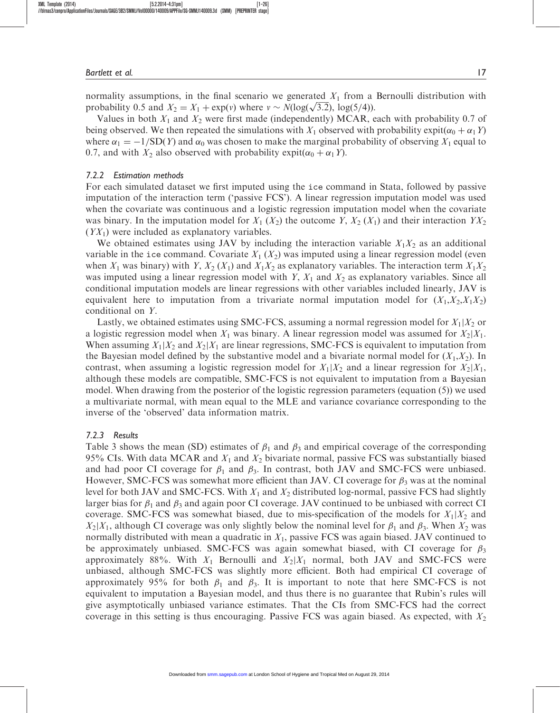Values in both  $X_1$  and  $X_2$  were first made (independently) MCAR, each with probability 0.7 of being observed. We then repeated the simulations with  $X_1$  observed with probability expit $(\alpha_0 + \alpha_1 Y)$ where  $\alpha_1 = -1/\text{SD}(Y)$  and  $\alpha_0$  was chosen to make the marginal probability of observing  $X_1$  equal to 0.7, and with  $X_2$  also observed with probability expit $(\alpha_0 + \alpha_1 Y)$ .

#### 7.2.2 Estimation methods

For each simulated dataset we first imputed using the ice command in Stata, followed by passive imputation of the interaction term ('passive FCS'). A linear regression imputation model was used when the covariate was continuous and a logistic regression imputation model when the covariate was binary. In the imputation model for  $X_1$  ( $X_2$ ) the outcome Y,  $X_2$  ( $X_1$ ) and their interaction  $Y_2$  $(YX_1)$  were included as explanatory variables.

We obtained estimates using JAV by including the interaction variable  $X_1X_2$  as an additional variable in the ice command. Covariate  $X_1$  ( $X_2$ ) was imputed using a linear regression model (even when  $X_1$  was binary) with Y,  $X_2$  ( $X_1$ ) and  $X_1X_2$  as explanatory variables. The interaction term  $X_1X_2$ was imputed using a linear regression model with  $Y$ ,  $X_1$  and  $X_2$  as explanatory variables. Since all conditional imputation models are linear regressions with other variables included linearly, JAV is equivalent here to imputation from a trivariate normal imputation model for  $(X_1, X_2, X_1X_2)$ conditional on Y.

Lastly, we obtained estimates using SMC-FCS, assuming a normal regression model for  $X_1|X_2$  or a logistic regression model when  $X_1$  was binary. A linear regression model was assumed for  $X_2|X_1$ . When assuming  $X_1|X_2$  and  $X_2|X_1$  are linear regressions, SMC-FCS is equivalent to imputation from the Bayesian model defined by the substantive model and a bivariate normal model for  $(X_1, X_2)$ . In contrast, when assuming a logistic regression model for  $X_1|X_2$  and a linear regression for  $X_2|X_1$ , although these models are compatible, SMC-FCS is not equivalent to imputation from a Bayesian model. When drawing from the posterior of the logistic regression parameters (equation (5)) we used a multivariate normal, with mean equal to the MLE and variance covariance corresponding to the inverse of the 'observed' data information matrix.

#### 7.2.3 Results

Table 3 shows the mean (SD) estimates of  $\beta_1$  and  $\beta_3$  and empirical coverage of the corresponding 95% CIs. With data MCAR and  $X_1$  and  $X_2$  bivariate normal, passive FCS was substantially biased and had poor CI coverage for  $\beta_1$  and  $\beta_3$ . In contrast, both JAV and SMC-FCS were unbiased. However, SMC-FCS was somewhat more efficient than JAV. CI coverage for  $\beta_3$  was at the nominal level for both JAV and SMC-FCS. With  $X_1$  and  $X_2$  distributed log-normal, passive FCS had slightly larger bias for  $\beta_1$  and  $\beta_3$  and again poor CI coverage. JAV continued to be unbiased with correct CI coverage. SMC-FCS was somewhat biased, due to mis-specification of the models for  $X_1|X_2$  and  $X_2|X_1$ , although CI coverage was only slightly below the nominal level for  $\beta_1$  and  $\beta_3$ . When  $X_2$  was normally distributed with mean a quadratic in  $X_1$ , passive FCS was again biased. JAV continued to be approximately unbiased. SMC-FCS was again somewhat biased, with CI coverage for  $\beta_3$ approximately 88%. With  $X_1$  Bernoulli and  $X_2|X_1$  normal, both JAV and SMC-FCS were unbiased, although SMC-FCS was slightly more efficient. Both had empirical CI coverage of approximately 95% for both  $\beta_1$  and  $\beta_3$ . It is important to note that here SMC-FCS is not equivalent to imputation a Bayesian model, and thus there is no guarantee that Rubin's rules will give asymptotically unbiased variance estimates. That the CIs from SMC-FCS had the correct coverage in this setting is thus encouraging. Passive FCS was again biased. As expected, with  $X_2$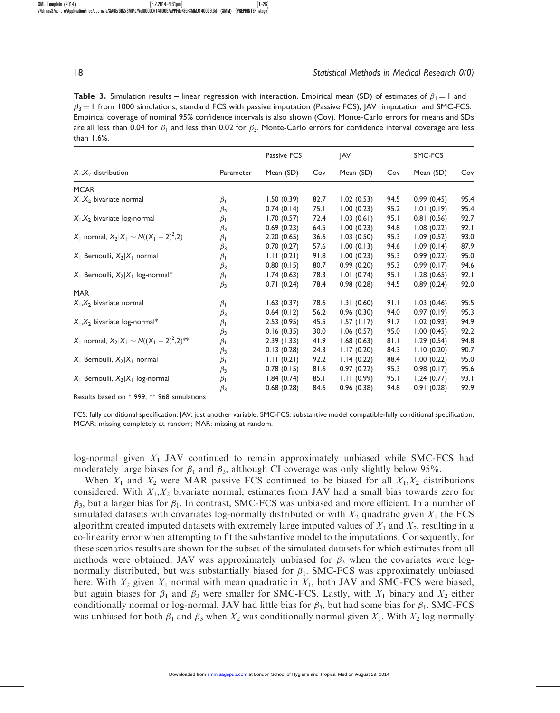**Table 3.** Simulation results – linear regression with interaction. Empirical mean (SD) of estimates of  $\beta_1=$  I and  $\beta_3=$  1 from 1000 simulations, standard FCS with passive imputation (Passive FCS), JAV  $\,$  imputation and SMC-FCS. Empirical coverage of nominal 95% confidence intervals is also shown (Cov). Monte-Carlo errors for means and SDs are all less than 0.04 for  $\beta_1$  and less than 0.02 for  $\beta_3$ . Monte-Carlo errors for confidence interval coverage are less than 1.6%.

|                                                     | Parameter | Passive FCS |      | JAV        |      | SMC-FCS    |      |
|-----------------------------------------------------|-----------|-------------|------|------------|------|------------|------|
| $X_1, X_2$ distribution                             |           | Mean (SD)   | Cov  | Mean (SD)  | Cov  | Mean (SD)  | Cov  |
| <b>MCAR</b>                                         |           |             |      |            |      |            |      |
| $X_1, X_2$ bivariate normal                         | $\beta_1$ | 1.50(0.39)  | 82.7 | 1.02(0.53) | 94.5 | 0.99(0.45) | 95.4 |
|                                                     | $\beta_3$ | 0.74(0.14)  | 75.1 | 1.00(0.23) | 95.2 | 1.01(0.19) | 95.4 |
| $X_1, X_2$ bivariate log-normal                     | $\beta_1$ | 1.70(0.57)  | 72.4 | 1.03(0.61) | 95.1 | 0.81(0.56) | 92.7 |
|                                                     | $\beta_3$ | 0.69(0.23)  | 64.5 | 1.00(0.23) | 94.8 | 1.08(0.22) | 92.1 |
| $X_1$ normal, $X_2 X_1 \sim N((X_1 - 2)^2, 2)$      | $\beta_1$ | 2.20(0.65)  | 36.6 | 1.03(0.50) | 95.3 | 1.09(0.52) | 93.0 |
|                                                     | $\beta_3$ | 0.70(0.27)  | 57.6 | 1.00(0.13) | 94.6 | 1.09(0.14) | 87.9 |
| $X_1$ Bernoulli, $X_2 X_1$ normal                   | $\beta_1$ | 1.11(0.21)  | 91.8 | 1.00(0.23) | 95.3 | 0.99(0.22) | 95.0 |
|                                                     | $\beta_3$ | 0.80(0.15)  | 80.7 | 0.99(0.20) | 95.3 | 0.99(0.17) | 94.6 |
| $X_1$ Bernoulli, $X_2 X_1$ log-normal*              | $\beta_1$ | 1.74(0.63)  | 78.3 | 1.01(0.74) | 95.1 | 1.28(0.65) | 92.1 |
|                                                     | $\beta_3$ | 0.71(0.24)  | 78.4 | 0.98(0.28) | 94.5 | 0.89(0.24) | 92.0 |
| <b>MAR</b>                                          |           |             |      |            |      |            |      |
| $X_1, X_2$ bivariate normal                         | $\beta_1$ | 1.63(0.37)  | 78.6 | 1.31(0.60) | 91.1 | 1.03(0.46) | 95.5 |
|                                                     | $\beta_3$ | 0.64(0.12)  | 56.2 | 0.96(0.30) | 94.0 | 0.97(0.19) | 95.3 |
| $X_1, X_2$ bivariate log-normal*                    | $\beta_1$ | 2.53(0.95)  | 45.5 | 1.57(1.17) | 91.7 | 1.02(0.93) | 94.9 |
|                                                     | $\beta_3$ | 0.16(0.35)  | 30.0 | 1.06(0.57) | 95.0 | 1.00(0.45) | 92.2 |
| $X_1$ normal, $X_2 X_1 \sim N((X_1 - 2)^2, 2)^{**}$ | $\beta_1$ | 2.39(1.33)  | 41.9 | 1.68(0.63) | 81.1 | 1.29(0.54) | 94.8 |
|                                                     | $\beta_3$ | 0.13(0.28)  | 24.3 | 1.17(0.20) | 84.3 | 1.10(0.20) | 90.7 |
| $X_1$ Bernoulli, $X_2 X_1$ normal                   | $\beta_1$ | 1.11(0.21)  | 92.2 | 1.14(0.22) | 88.4 | 1.00(0.22) | 95.0 |
|                                                     | $\beta_3$ | 0.78(0.15)  | 81.6 | 0.97(0.22) | 95.3 | 0.98(0.17) | 95.6 |
| $X_1$ Bernoulli, $X_2 X_1$ log-normal               | $\beta_1$ | 1.84(0.74)  | 85.1 | 1.11(0.99) | 95.1 | 1.24(0.77) | 93.1 |
|                                                     | $\beta_3$ | 0.68(0.28)  | 84.6 | 0.96(0.38) | 94.8 | 0.91(0.28) | 92.9 |
| Results based on $*$ 999, $**$ 968 simulations      |           |             |      |            |      |            |      |

FCS: fully conditional specification; JAV: just another variable; SMC-FCS: substantive model compatible-fully conditional specification; MCAR: missing completely at random; MAR: missing at random.

log-normal given  $X_1$  JAV continued to remain approximately unbiased while SMC-FCS had moderately large biases for  $\beta_1$  and  $\beta_3$ , although CI coverage was only slightly below 95%.

When  $X_1$  and  $X_2$  were MAR passive FCS continued to be biased for all  $X_1, X_2$  distributions considered. With  $X_1, X_2$  bivariate normal, estimates from JAV had a small bias towards zero for  $\beta_3$ , but a larger bias for  $\beta_1$ . In contrast, SMC-FCS was unbiased and more efficient. In a number of simulated datasets with covariates log-normally distributed or with  $X_2$  quadratic given  $X_1$  the FCS algorithm created imputed datasets with extremely large imputed values of  $X_1$  and  $X_2$ , resulting in a co-linearity error when attempting to fit the substantive model to the imputations. Consequently, for these scenarios results are shown for the subset of the simulated datasets for which estimates from all methods were obtained. JAV was approximately unbiased for  $\beta_3$  when the covariates were lognormally distributed, but was substantially biased for  $\beta_1$ . SMC-FCS was approximately unbiased here. With  $X_2$  given  $X_1$  normal with mean quadratic in  $X_1$ , both JAV and SMC-FCS were biased, but again biases for  $\beta_1$  and  $\beta_3$  were smaller for SMC-FCS. Lastly, with  $X_1$  binary and  $X_2$  either conditionally normal or log-normal, JAV had little bias for  $\beta_3$ , but had some bias for  $\beta_1$ . SMC-FCS was unbiased for both  $\beta_1$  and  $\beta_3$  when  $X_2$  was conditionally normal given  $X_1$ . With  $X_2$  log-normally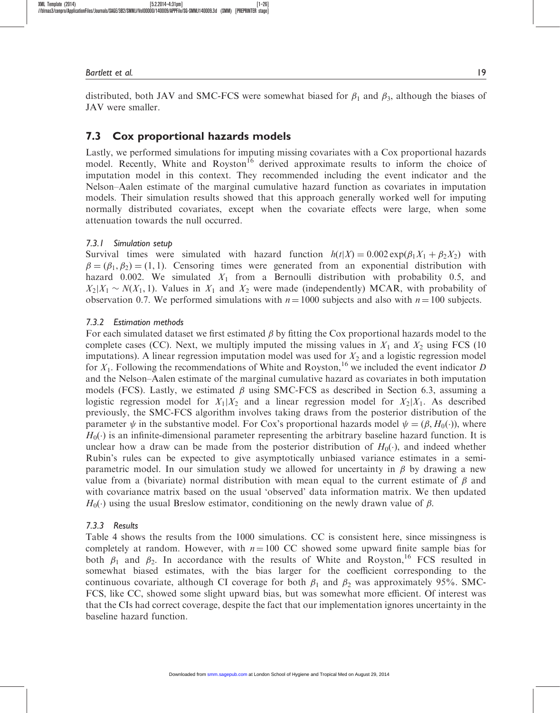distributed, both JAV and SMC-FCS were somewhat biased for  $\beta_1$  and  $\beta_3$ , although the biases of JAV were smaller.

# 7.3 Cox proportional hazards models

Lastly, we performed simulations for imputing missing covariates with a Cox proportional hazards model. Recently, White and Royston<sup>16</sup> derived approximate results to inform the choice of imputation model in this context. They recommended including the event indicator and the Nelson–Aalen estimate of the marginal cumulative hazard function as covariates in imputation models. Their simulation results showed that this approach generally worked well for imputing normally distributed covariates, except when the covariate effects were large, when some attenuation towards the null occurred.

#### 7.3.1 Simulation setup

Survival times were simulated with hazard function  $h(t|X) = 0.002 \exp(\beta_1 X_1 + \beta_2 X_2)$  with  $\beta = (\beta_1, \beta_2) = (1, 1)$ . Censoring times were generated from an exponential distribution with hazard 0.002. We simulated  $X_1$  from a Bernoulli distribution with probability 0.5, and  $X_2|X_1 \sim N(X_1, 1)$ . Values in  $X_1$  and  $X_2$  were made (independently) MCAR, with probability of observation 0.7. We performed simulations with  $n = 1000$  subjects and also with  $n = 100$  subjects.

#### 7.3.2 Estimation methods

For each simulated dataset we first estimated  $\beta$  by fitting the Cox proportional hazards model to the complete cases (CC). Next, we multiply imputed the missing values in  $X_1$  and  $X_2$  using FCS (10) imputations). A linear regression imputation model was used for  $X_2$  and a logistic regression model for  $X_1$ . Following the recommendations of White and Royston,<sup>16</sup> we included the event indicator D and the Nelson–Aalen estimate of the marginal cumulative hazard as covariates in both imputation models (FCS). Lastly, we estimated  $\beta$  using SMC-FCS as described in Section 6.3, assuming a logistic regression model for  $X_1|X_2$  and a linear regression model for  $X_2|X_1$ . As described previously, the SMC-FCS algorithm involves taking draws from the posterior distribution of the parameter  $\psi$  in the substantive model. For Cox's proportional hazards model  $\psi = (\beta, H_0(\cdot))$ , where  $H_0(\cdot)$  is an infinite-dimensional parameter representing the arbitrary baseline hazard function. It is unclear how a draw can be made from the posterior distribution of  $H_0(\cdot)$ , and indeed whether Rubin's rules can be expected to give asymptotically unbiased variance estimates in a semiparametric model. In our simulation study we allowed for uncertainty in  $\beta$  by drawing a new value from a (bivariate) normal distribution with mean equal to the current estimate of  $\beta$  and with covariance matrix based on the usual 'observed' data information matrix. We then updated  $H_0(\cdot)$  using the usual Breslow estimator, conditioning on the newly drawn value of  $\beta$ .

#### 7.3.3 Results

Table 4 shows the results from the 1000 simulations. CC is consistent here, since missingness is completely at random. However, with  $n = 100$  CC showed some upward finite sample bias for both  $\beta_1$  and  $\beta_2$ . In accordance with the results of White and Royston,<sup>16</sup> FCS resulted in somewhat biased estimates, with the bias larger for the coefficient corresponding to the continuous covariate, although CI coverage for both  $\beta_1$  and  $\beta_2$  was approximately 95%. SMC-FCS, like CC, showed some slight upward bias, but was somewhat more efficient. Of interest was that the CIs had correct coverage, despite the fact that our implementation ignores uncertainty in the baseline hazard function.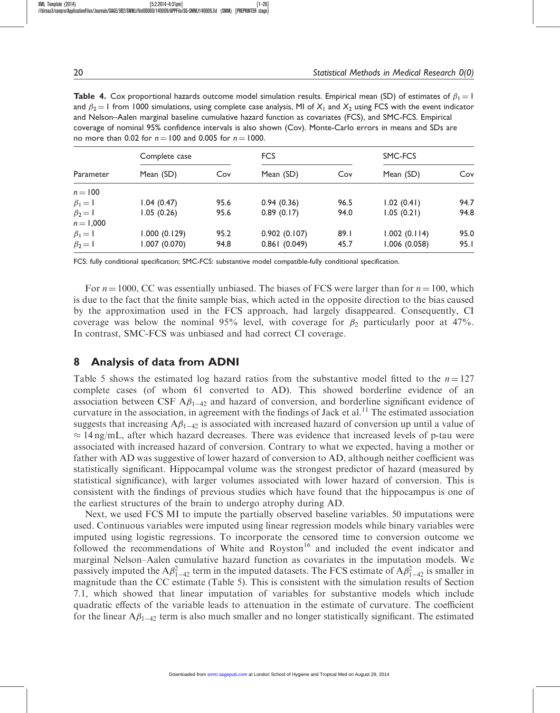| no more than 0.02 for $n = 100$ and 0.003 for $n = 1000$ . |               |      |              |      |              |      |  |  |
|------------------------------------------------------------|---------------|------|--------------|------|--------------|------|--|--|
| Parameter                                                  | Complete case |      | <b>FCS</b>   |      | SMC-FCS      |      |  |  |
|                                                            | Mean (SD)     | Cov  | Mean (SD)    | Cov  | Mean (SD)    | Cov  |  |  |
| $n = 100$                                                  |               |      |              |      |              |      |  |  |
| $\beta_1=1$                                                | 1.04(0.47)    | 95.6 | 0.94(0.36)   | 96.5 | 1.02(0.41)   | 94.7 |  |  |
| $\beta_2=1$                                                | 1.05(0.26)    | 95.6 | 0.89(0.17)   | 94.0 | 1.05(0.21)   | 94.8 |  |  |
| $n = 1,000$                                                |               |      |              |      |              |      |  |  |
| $\beta_1=1$                                                | 1.000(0.129)  | 95.2 | 0.902(0.107) | 89.1 | 1.002(0.114) | 95.0 |  |  |
| $\beta_2=1$                                                | 1.007(0.070)  | 94.8 | 0.861(0.049) | 45.7 | 1.006(0.058) | 95.1 |  |  |

**Table 4.** Cox proportional hazards outcome model simulation results. Empirical mean (SD) of estimates of  $\beta_1 = I$ and  $\beta_2=$  1 from 1000 simulations, using complete case analysis, MI of  $X_1$  and  $X_2$  using FCS with the event indicator and Nelson–Aalen marginal baseline cumulative hazard function as covariates (FCS), and SMC-FCS. Empirical coverage of nominal 95% confidence intervals is also shown (Cov). Monte-Carlo errors in means and SDs are<br>no mana than 0.03 fan n 1.00 and 0.005 fan n 1.000. no more than 0.02 for  $n = 100$  and 0.005 for  $n = 1000$ .

FCS: fully conditional specification; SMC-FCS: substantive model compatible-fully conditional specification.

For  $n = 1000$ , CC was essentially unbiased. The biases of FCS were larger than for  $n = 100$ , which is due to the fact that the finite sample bias, which acted in the opposite direction to the bias caused by the approximation used in the FCS approach, had largely disappeared. Consequently, CI coverage was below the nominal 95% level, with coverage for  $\beta_2$  particularly poor at 47%. In contrast, SMC-FCS was unbiased and had correct CI coverage.

# 8 Analysis of data from ADNI

Table 5 shows the estimated log hazard ratios from the substantive model fitted to the  $n = 127$ complete cases (of whom 61 converted to AD). This showed borderline evidence of an association between CSF  $A\beta_{1-42}$  and hazard of conversion, and borderline significant evidence of curvature in the association, in agreement with the findings of Jack et al.<sup>11</sup> The estimated association suggests that increasing  $A\beta_{1-42}$  is associated with increased hazard of conversion up until a value of  $\approx$  14 ng/mL, after which hazard decreases. There was evidence that increased levels of p-tau were associated with increased hazard of conversion. Contrary to what we expected, having a mother or father with AD was suggestive of lower hazard of conversion to AD, although neither coefficient was statistically significant. Hippocampal volume was the strongest predictor of hazard (measured by statistical significance), with larger volumes associated with lower hazard of conversion. This is consistent with the findings of previous studies which have found that the hippocampus is one of the earliest structures of the brain to undergo atrophy during AD.

Next, we used FCS MI to impute the partially observed baseline variables. 50 imputations were used. Continuous variables were imputed using linear regression models while binary variables were imputed using logistic regressions. To incorporate the censored time to conversion outcome we followed the recommendations of White and Royston<sup>16</sup> and included the event indicator and marginal Nelson–Aalen cumulative hazard function as covariates in the imputation models. We passively imputed the  $A\beta_{1-42}^2$  term in the imputed datasets. The FCS estimate of  $A\beta_{1-42}^2$  is smaller in magnitude than the CC estimate (Table 5). This is consistent with the simulation results of Section 7.1, which showed that linear imputation of variables for substantive models which include quadratic effects of the variable leads to attenuation in the estimate of curvature. The coefficient for the linear  $A\beta_{1-42}$  term is also much smaller and no longer statistically significant. The estimated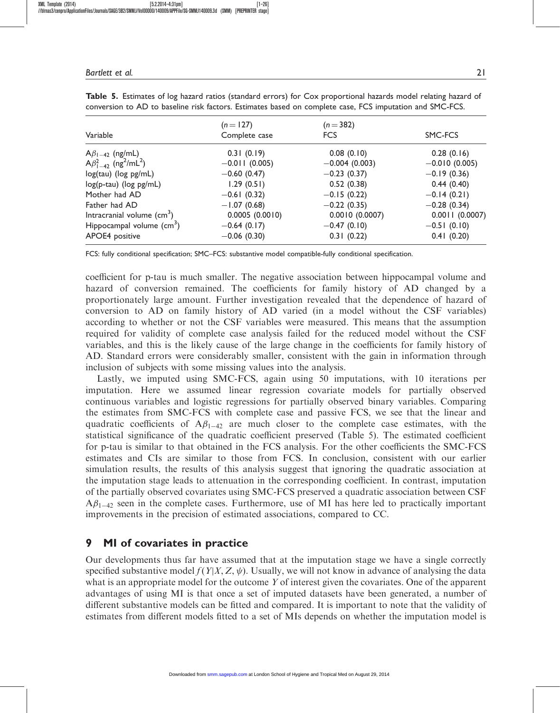| Variable                                                                         | $(n=127)$<br>Complete case      | $(n=382)$<br><b>FCS</b>         | SMC-FCS                         |
|----------------------------------------------------------------------------------|---------------------------------|---------------------------------|---------------------------------|
| $A\beta_{1-42}$ (ng/mL)<br>$A\beta_{1-42}^2$ (ng <sup>2</sup> /mL <sup>2</sup> ) | 0.31(0.19)<br>$-0.011(0.005)$   | 0.08(0.10)<br>$-0.004(0.003)$   | 0.28(0.16)<br>$-0.010(0.005)$   |
| $log(tau)$ ( $log pg/mL$ )                                                       | $-0.60(0.47)$                   | $-0.23(0.37)$                   | $-0.19(0.36)$                   |
| $log(p-tau)$ ( $log pg/mL$ )<br>Mother had AD                                    | 1.29(0.51)<br>$-0.61(0.32)$     | 0.52(0.38)<br>$-0.15(0.22)$     | 0.44(0.40)<br>$-0.14(0.21)$     |
| Father had AD                                                                    | $-1.07(0.68)$                   | $-0.22(0.35)$                   | $-0.28(0.34)$                   |
| Intracranial volume $(cm3)$<br>Hippocampal volume $(cm3)$                        | 0.0005(0.0010)<br>$-0.64(0.17)$ | 0.0010(0.0007)<br>$-0.47(0.10)$ | 0.0011(0.0007)<br>$-0.51(0.10)$ |
| APOE4 positive                                                                   | $-0.06(0.30)$                   | 0.31(0.22)                      | 0.41(0.20)                      |

Table 5. Estimates of log hazard ratios (standard errors) for Cox proportional hazards model relating hazard of conversion to AD to baseline risk factors. Estimates based on complete case, FCS imputation and SMC-FCS.

FCS: fully conditional specification; SMC–FCS: substantive model compatible-fully conditional specification.

coefficient for p-tau is much smaller. The negative association between hippocampal volume and hazard of conversion remained. The coefficients for family history of AD changed by a proportionately large amount. Further investigation revealed that the dependence of hazard of conversion to AD on family history of AD varied (in a model without the CSF variables) according to whether or not the CSF variables were measured. This means that the assumption required for validity of complete case analysis failed for the reduced model without the CSF variables, and this is the likely cause of the large change in the coefficients for family history of AD. Standard errors were considerably smaller, consistent with the gain in information through inclusion of subjects with some missing values into the analysis.

Lastly, we imputed using SMC-FCS, again using 50 imputations, with 10 iterations per imputation. Here we assumed linear regression covariate models for partially observed continuous variables and logistic regressions for partially observed binary variables. Comparing the estimates from SMC-FCS with complete case and passive FCS, we see that the linear and quadratic coefficients of  $A\beta_{1-42}$  are much closer to the complete case estimates, with the statistical significance of the quadratic coefficient preserved (Table 5). The estimated coefficient for p-tau is similar to that obtained in the FCS analysis. For the other coefficients the SMC-FCS estimates and CIs are similar to those from FCS. In conclusion, consistent with our earlier simulation results, the results of this analysis suggest that ignoring the quadratic association at the imputation stage leads to attenuation in the corresponding coefficient. In contrast, imputation of the partially observed covariates using SMC-FCS preserved a quadratic association between CSF  $A\beta_{1-42}$  seen in the complete cases. Furthermore, use of MI has here led to practically important improvements in the precision of estimated associations, compared to CC.

# 9 MI of covariates in practice

Our developments thus far have assumed that at the imputation stage we have a single correctly specified substantive model  $f(Y|X, Z, \psi)$ . Usually, we will not know in advance of analysing the data what is an appropriate model for the outcome Y of interest given the covariates. One of the apparent advantages of using MI is that once a set of imputed datasets have been generated, a number of different substantive models can be fitted and compared. It is important to note that the validity of estimates from different models fitted to a set of MIs depends on whether the imputation model is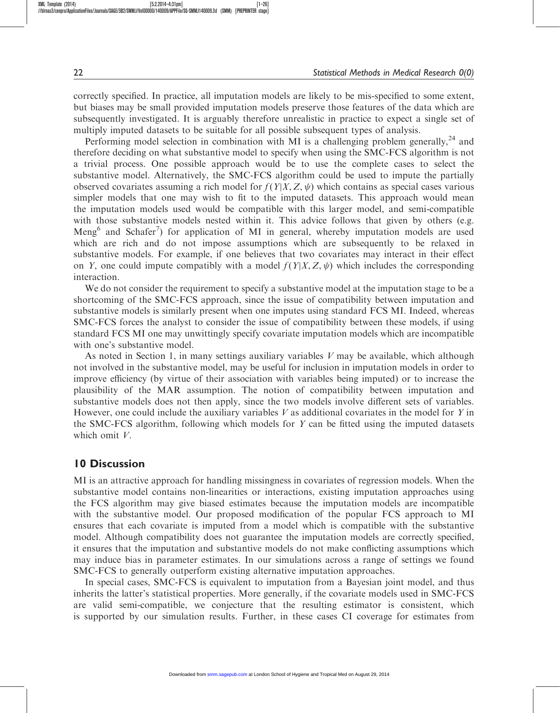correctly specified. In practice, all imputation models are likely to be mis-specified to some extent, but biases may be small provided imputation models preserve those features of the data which are subsequently investigated. It is arguably therefore unrealistic in practice to expect a single set of multiply imputed datasets to be suitable for all possible subsequent types of analysis.

Performing model selection in combination with MI is a challenging problem generally,<sup>24</sup> and therefore deciding on what substantive model to specify when using the SMC-FCS algorithm is not a trivial process. One possible approach would be to use the complete cases to select the substantive model. Alternatively, the SMC-FCS algorithm could be used to impute the partially observed covariates assuming a rich model for  $f(Y|X, Z, \psi)$  which contains as special cases various simpler models that one may wish to fit to the imputed datasets. This approach would mean the imputation models used would be compatible with this larger model, and semi-compatible with those substantive models nested within it. This advice follows that given by others (e.g. Meng<sup>6</sup> and Schafer<sup>7</sup>) for application of MI in general, whereby imputation models are used which are rich and do not impose assumptions which are subsequently to be relaxed in substantive models. For example, if one believes that two covariates may interact in their effect on Y, one could impute compatibly with a model  $f(Y|X, Z, \psi)$  which includes the corresponding interaction.

We do not consider the requirement to specify a substantive model at the imputation stage to be a shortcoming of the SMC-FCS approach, since the issue of compatibility between imputation and substantive models is similarly present when one imputes using standard FCS MI. Indeed, whereas SMC-FCS forces the analyst to consider the issue of compatibility between these models, if using standard FCS MI one may unwittingly specify covariate imputation models which are incompatible with one's substantive model.

As noted in Section 1, in many settings auxiliary variables  $V$  may be available, which although not involved in the substantive model, may be useful for inclusion in imputation models in order to improve efficiency (by virtue of their association with variables being imputed) or to increase the plausibility of the MAR assumption. The notion of compatibility between imputation and substantive models does not then apply, since the two models involve different sets of variables. However, one could include the auxiliary variables  $V$  as additional covariates in the model for  $Y$  in the SMC-FCS algorithm, following which models for Y can be fitted using the imputed datasets which omit V.

# 10 Discussion

MI is an attractive approach for handling missingness in covariates of regression models. When the substantive model contains non-linearities or interactions, existing imputation approaches using the FCS algorithm may give biased estimates because the imputation models are incompatible with the substantive model. Our proposed modification of the popular FCS approach to MI ensures that each covariate is imputed from a model which is compatible with the substantive model. Although compatibility does not guarantee the imputation models are correctly specified, it ensures that the imputation and substantive models do not make conflicting assumptions which may induce bias in parameter estimates. In our simulations across a range of settings we found SMC-FCS to generally outperform existing alternative imputation approaches.

In special cases, SMC-FCS is equivalent to imputation from a Bayesian joint model, and thus inherits the latter's statistical properties. More generally, if the covariate models used in SMC-FCS are valid semi-compatible, we conjecture that the resulting estimator is consistent, which is supported by our simulation results. Further, in these cases CI coverage for estimates from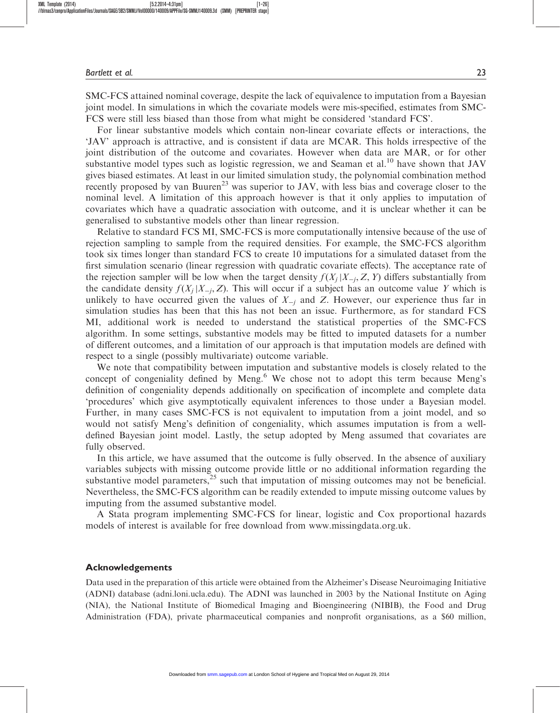SMC-FCS attained nominal coverage, despite the lack of equivalence to imputation from a Bayesian joint model. In simulations in which the covariate models were mis-specified, estimates from SMC-FCS were still less biased than those from what might be considered 'standard FCS'.

For linear substantive models which contain non-linear covariate effects or interactions, the 'JAV' approach is attractive, and is consistent if data are MCAR. This holds irrespective of the joint distribution of the outcome and covariates. However when data are MAR, or for other substantive model types such as logistic regression, we and Seaman et al.<sup>10</sup> have shown that JAV gives biased estimates. At least in our limited simulation study, the polynomial combination method recently proposed by van Buuren<sup>23</sup> was superior to JAV, with less bias and coverage closer to the nominal level. A limitation of this approach however is that it only applies to imputation of covariates which have a quadratic association with outcome, and it is unclear whether it can be generalised to substantive models other than linear regression.

Relative to standard FCS MI, SMC-FCS is more computationally intensive because of the use of rejection sampling to sample from the required densities. For example, the SMC-FCS algorithm took six times longer than standard FCS to create 10 imputations for a simulated dataset from the first simulation scenario (linear regression with quadratic covariate effects). The acceptance rate of the rejection sampler will be low when the target density  $f(X_j|X_{-j}, Z, Y)$  differs substantially from the candidate density  $f(X_j|X_{-j}, Z)$ . This will occur if a subject has an outcome value Y which is unlikely to have occurred given the values of  $X_{-j}$  and Z. However, our experience thus far in simulation studies has been that this has not been an issue. Furthermore, as for standard FCS MI, additional work is needed to understand the statistical properties of the SMC-FCS algorithm. In some settings, substantive models may be fitted to imputed datasets for a number of different outcomes, and a limitation of our approach is that imputation models are defined with respect to a single (possibly multivariate) outcome variable.

We note that compatibility between imputation and substantive models is closely related to the concept of congeniality defined by Meng.<sup>6</sup> We chose not to adopt this term because Meng's definition of congeniality depends additionally on specification of incomplete and complete data 'procedures' which give asymptotically equivalent inferences to those under a Bayesian model. Further, in many cases SMC-FCS is not equivalent to imputation from a joint model, and so would not satisfy Meng's definition of congeniality, which assumes imputation is from a welldefined Bayesian joint model. Lastly, the setup adopted by Meng assumed that covariates are fully observed.

In this article, we have assumed that the outcome is fully observed. In the absence of auxiliary variables subjects with missing outcome provide little or no additional information regarding the substantive model parameters, $25$  such that imputation of missing outcomes may not be beneficial. Nevertheless, the SMC-FCS algorithm can be readily extended to impute missing outcome values by imputing from the assumed substantive model.

A Stata program implementing SMC-FCS for linear, logistic and Cox proportional hazards models of interest is available for free download from www.missingdata.org.uk.

#### Acknowledgements

Data used in the preparation of this article were obtained from the Alzheimer's Disease Neuroimaging Initiative (ADNI) database (adni.loni.ucla.edu). The ADNI was launched in 2003 by the National Institute on Aging (NIA), the National Institute of Biomedical Imaging and Bioengineering (NIBIB), the Food and Drug Administration (FDA), private pharmaceutical companies and nonprofit organisations, as a \$60 million,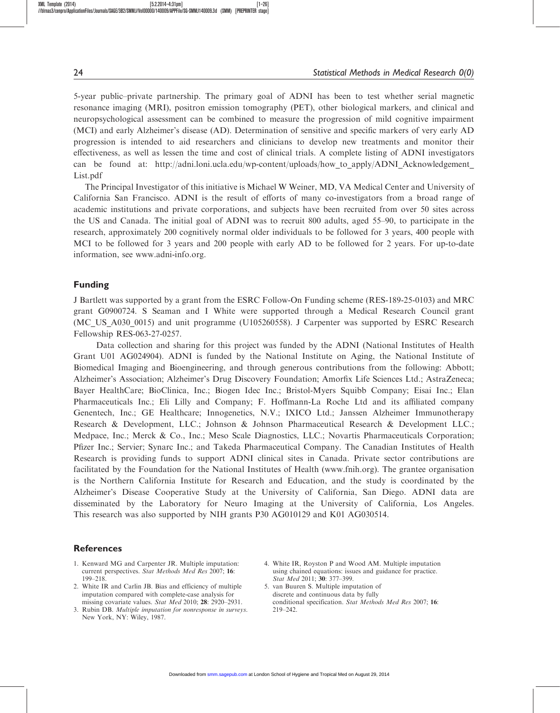5-year public–private partnership. The primary goal of ADNI has been to test whether serial magnetic resonance imaging (MRI), positron emission tomography (PET), other biological markers, and clinical and neuropsychological assessment can be combined to measure the progression of mild cognitive impairment (MCI) and early Alzheimer's disease (AD). Determination of sensitive and specific markers of very early AD progression is intended to aid researchers and clinicians to develop new treatments and monitor their effectiveness, as well as lessen the time and cost of clinical trials. A complete listing of ADNI investigators can be found at: http://adni.loni.ucla.edu/wp-content/uploads/how to apply/ADNI Acknowledgement List.pdf

The Principal Investigator of this initiative is Michael W Weiner, MD, VA Medical Center and University of California San Francisco. ADNI is the result of efforts of many co-investigators from a broad range of academic institutions and private corporations, and subjects have been recruited from over 50 sites across the US and Canada. The initial goal of ADNI was to recruit 800 adults, aged 55–90, to participate in the research, approximately 200 cognitively normal older individuals to be followed for 3 years, 400 people with MCI to be followed for 3 years and 200 people with early AD to be followed for 2 years. For up-to-date information, see www.adni-info.org.

#### Funding

J Bartlett was supported by a grant from the ESRC Follow-On Funding scheme (RES-189-25-0103) and MRC grant G0900724. S Seaman and I White were supported through a Medical Research Council grant (MC\_US\_A030\_0015) and unit programme (U105260558). J Carpenter was supported by ESRC Research Fellowship RES-063-27-0257.

Data collection and sharing for this project was funded by the ADNI (National Institutes of Health Grant U01 AG024904). ADNI is funded by the National Institute on Aging, the National Institute of Biomedical Imaging and Bioengineering, and through generous contributions from the following: Abbott; Alzheimer's Association; Alzheimer's Drug Discovery Foundation; Amorfix Life Sciences Ltd.; AstraZeneca; Bayer HealthCare; BioClinica, Inc.; Biogen Idec Inc.; Bristol-Myers Squibb Company; Eisai Inc.; Elan Pharmaceuticals Inc.; Eli Lilly and Company; F. Hoffmann-La Roche Ltd and its affiliated company Genentech, Inc.; GE Healthcare; Innogenetics, N.V.; IXICO Ltd.; Janssen Alzheimer Immunotherapy Research & Development, LLC.; Johnson & Johnson Pharmaceutical Research & Development LLC.; Medpace, Inc.; Merck & Co., Inc.; Meso Scale Diagnostics, LLC.; Novartis Pharmaceuticals Corporation; Pfizer Inc.; Servier; Synarc Inc.; and Takeda Pharmaceutical Company. The Canadian Institutes of Health Research is providing funds to support ADNI clinical sites in Canada. Private sector contributions are facilitated by the Foundation for the National Institutes of Health (www.fnih.org). The grantee organisation is the Northern California Institute for Research and Education, and the study is coordinated by the Alzheimer's Disease Cooperative Study at the University of California, San Diego. ADNI data are disseminated by the Laboratory for Neuro Imaging at the University of California, Los Angeles. This research was also supported by NIH grants P30 AG010129 and K01 AG030514.

#### **References**

- 1. Kenward MG and Carpenter JR. Multiple imputation: current perspectives. Stat Methods Med Res 2007; 16: 199–218.
- 2. White IR and Carlin JB. Bias and efficiency of multiple imputation compared with complete-case analysis for missing covariate values. Stat Med 2010; 28: 2920–2931.
- 3. Rubin DB. Multiple imputation for nonresponse in surveys. New York, NY: Wiley, 1987.
- 4. White IR, Royston P and Wood AM. Multiple imputation using chained equations: issues and guidance for practice. Stat Med 2011; 30: 377–399.
- 5. van Buuren S. Multiple imputation of discrete and continuous data by fully conditional specification. Stat Methods Med Res 2007; 16: 219–242.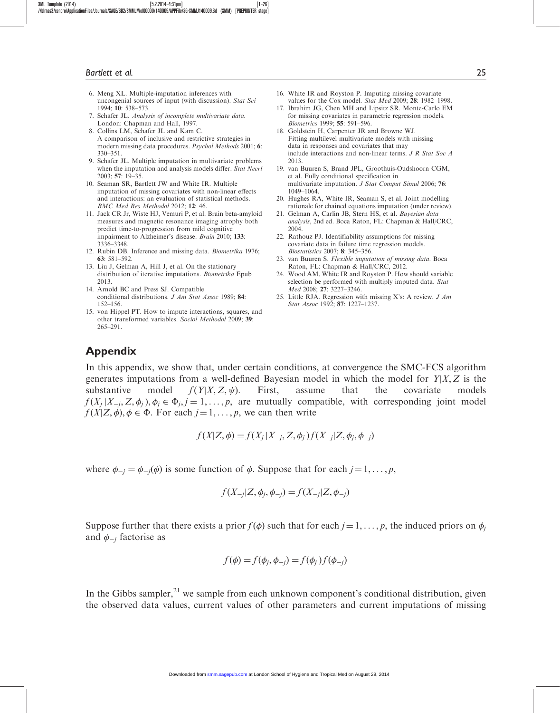- 6. Meng XL. Multiple-imputation inferences with uncongenial sources of input (with discussion). Stat Sci 1994; 10: 538–573.
- 7. Schafer JL. Analysis of incomplete multivariate data. London: Chapman and Hall, 1997.
- 8. Collins LM, Schafer JL and Kam C. A comparison of inclusive and restrictive strategies in modern missing data procedures. Psychol Methods 2001; 6: 330–351.
- 9. Schafer JL. Multiple imputation in multivariate problems when the imputation and analysis models differ. Stat Neerl 2003; 57: 19–35.
- 10. Seaman SR, Bartlett JW and White IR. Multiple imputation of missing covariates with non-linear effects and interactions: an evaluation of statistical methods. BMC Med Res Methodol 2012; 12: 46.
- 11. Jack CR Jr, Wiste HJ, Vemuri P, et al. Brain beta-amyloid measures and magnetic resonance imaging atrophy both predict time-to-progression from mild cognitive impairment to Alzheimer's disease. Brain 2010; 133: 3336–3348.
- 12. Rubin DB. Inference and missing data. Biometrika 1976; 63: 581–592.
- 13. Liu J, Gelman A, Hill J, et al. On the stationary distribution of iterative imputations. Biometrika Epub 2013.
- 14. Arnold BC and Press SJ. Compatible conditional distributions. J Am Stat Assoc 1989; 84: 152–156.
- 15. von Hippel PT. How to impute interactions, squares, and other transformed variables. Sociol Methodol 2009; 39: 265–291.
- 16. White IR and Royston P. Imputing missing covariate values for the Cox model. Stat Med 2009; 28: 1982–1998.
- 17. Ibrahim JG, Chen MH and Lipsitz SR. Monte-Carlo EM for missing covariates in parametric regression models. Biometrics 1999; 55: 591–596.
- 18. Goldstein H, Carpenter JR and Browne WJ. Fitting multilevel multivariate models with missing data in responses and covariates that may include interactions and non-linear terms. J R Stat Soc A 2013.
- 19. van Buuren S, Brand JPL, Groothuis-Oudshoorn CGM, et al. Fully conditional specification in multivariate imputation. J Stat Comput Simul 2006; 76: 1049–1064.
- 20. Hughes RA, White IR, Seaman S, et al. Joint modelling rationale for chained equations imputation (under review).
- 21. Gelman A, Carlin JB, Stern HS, et al. Bayesian data analysis, 2nd ed. Boca Raton, FL: Chapman & Hall/CRC, 2004.
- 22. Rathouz PJ. Identifiability assumptions for missing covariate data in failure time regression models. Biostatistics 2007; 8: 345–356.
- 23. van Buuren S. Flexible imputation of missing data. Boca Raton, FL: Chapman & Hall/CRC, 2012.
- 24. Wood AM, White IR and Royston P. How should variable selection be performed with multiply imputed data. Stat Med 2008; 27: 3227–3246.
- 25. Little RJA. Regression with missing X's: A review.  $JAm$ Stat Assoc 1992; 87: 1227–1237.

# Appendix

In this appendix, we show that, under certain conditions, at convergence the SMC-FCS algorithm generates imputations from a well-defined Bayesian model in which the model for  $Y|X,Z$  is the substantive model  $f(Y|X, Z, \psi)$ . First, assume that the covariate models  $f(X_j|X_{-j}, Z, \phi_j), \phi_j \in \Phi_j, j = 1, \ldots, p$ , are mutually compatible, with corresponding joint model  $f(X|Z, \phi), \phi \in \Phi$ . For each  $j = 1, \ldots, p$ , we can then write

$$
f(X|Z, \phi) = f(X_j | X_{-j}, Z, \phi_j) f(X_{-j} | Z, \phi_j, \phi_{-j})
$$

where  $\phi_{-j} = \phi_{-j}(\phi)$  is some function of  $\phi$ . Suppose that for each  $j = 1, \ldots, p$ ,

$$
f(X_{-j}|Z, \phi_j, \phi_{-j}) = f(X_{-j}|Z, \phi_{-j})
$$

Suppose further that there exists a prior  $f(\phi)$  such that for each  $j = 1, \ldots, p$ , the induced priors on  $\phi_i$ and  $\phi_{-j}$  factorise as

$$
f(\phi) = f(\phi_j, \phi_{-j}) = f(\phi_j) f(\phi_{-j})
$$

In the Gibbs sampler, $^{21}$  we sample from each unknown component's conditional distribution, given the observed data values, current values of other parameters and current imputations of missing